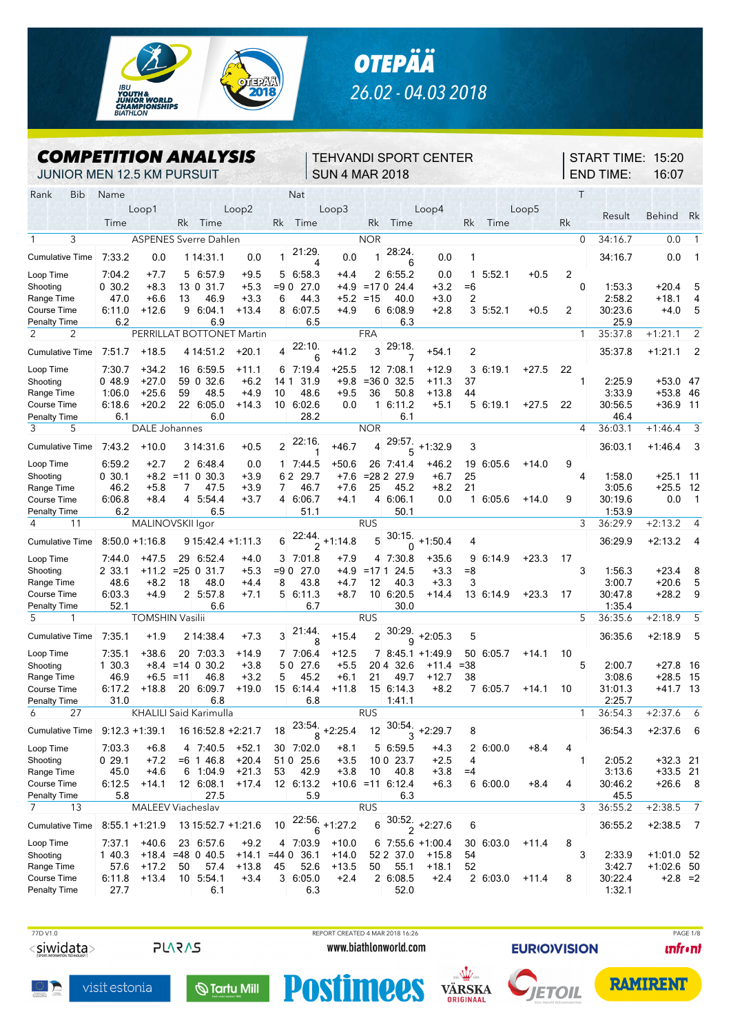



## *COMPETITION ANALYSIS*

TEHVANDI SPORT CENTER SUN 4 MAR 2018

START TIME: 15:20 END TIME: 16:07

JUNIOR MEN 12.5 KM PURSUIT

| Rank<br>Bib                      | Name              |                        |       |                               |         |                | Nat                |                           |            |                     |                              |                |             |         |    | $\top$       |         |               |                            |
|----------------------------------|-------------------|------------------------|-------|-------------------------------|---------|----------------|--------------------|---------------------------|------------|---------------------|------------------------------|----------------|-------------|---------|----|--------------|---------|---------------|----------------------------|
|                                  |                   | Loop1                  |       |                               | Loop2   |                |                    | Loop3                     |            |                     | Loop4                        |                |             | Loop5   |    |              |         |               |                            |
|                                  | Time              |                        | Rk    | Time                          |         | Rk             | Time               |                           | Rk         | Time                |                              | Rk             | Time        |         | Rk |              | Result  | <b>Behind</b> | Rk                         |
|                                  |                   |                        |       |                               |         |                |                    |                           |            |                     |                              |                |             |         |    |              |         |               |                            |
| 3                                |                   |                        |       | <b>ASPENES Sverre Dahlen</b>  |         |                |                    |                           | <b>NOR</b> |                     |                              |                |             |         |    | 0            | 34:16.7 | 0.0           | $\mathbf{1}$               |
| <b>Cumulative Time</b>           | 7.33.2            | 0.0                    |       | 1 14:31.1                     | 0.0     | 1              | 21:29.<br>4        | 0.0                       |            | 28:24.<br>6         | 0.0                          | 1              |             |         |    |              | 34:16.7 | 0.0           | -1                         |
| Loop Time                        | 7:04.2            | $+7.7$                 |       | 5 6 5 7 9                     | $+9.5$  | 5              | 6:58.3             | $+4.4$                    |            | 2 6:55.2            | 0.0                          | 1.             | 5.52.1      | $+0.5$  | 2  |              |         |               |                            |
| Shooting                         | 0 30.2            | $+8.3$                 |       | 13 0 31.7                     | $+5.3$  | $= 90$         | 27.0               | +4.9                      | $=170$     | 24.4                | $+3.2$                       | =6             |             |         |    | 0            | 1:53.3  | $+20.4$       | 5                          |
| Range Time                       | 47.0              | $+6.6$                 | 13    | 46.9                          | $+3.3$  | 6              | 44.3               | $+5.2 = 15$               |            | 40.0                | $+3.0$                       | 2              |             |         |    |              | 2:58.2  | $+18.1$       | 4                          |
| Course Time                      | 6:11.0            | $+12.6$                |       | 9 6:04.1                      | $+13.4$ |                | 8 6:07.5           | $+4.9$                    |            | 6 6:08 9            | $+2.8$                       |                | $3\,5.52.1$ | +0.5    | 2  |              | 30:23.6 | $+4.0$        | 5                          |
| <b>Penalty Time</b>              | 6.2               |                        |       | 6.9                           |         |                | 6.5                |                           |            | 6.3                 |                              |                |             |         |    |              | 25.9    |               |                            |
| $\mathcal{P}$<br>2               |                   |                        |       | PERRILLAT BOTTONET Martin     |         |                |                    |                           | <b>FRA</b> |                     |                              |                |             |         |    | $\mathbf{1}$ | 35:37.8 | $+1:21.1$     | 2                          |
| <b>Cumulative Time</b>           | 7.51.7            | $+18.5$                |       | 4 14:51.2                     | $+20.1$ | 4              | 22:10.<br>6        | $+41.2$                   | 3          | 29:18.              | $+54.1$                      | 2              |             |         |    |              | 35:37.8 | $+1:21.1$     | $\overline{\phantom{0}}^2$ |
| Loop Time                        | 7:30.7            | $+34.2$                |       | 16 6:59 5                     | +11.1   |                | 6 7 19.4           | $+25.5$                   |            | 12 7:08.1           | +12.9                        | 3              | 6.19.1      | $+27.5$ | 22 |              |         |               |                            |
| Shooting                         | 048.9             | $+27.0$                |       | 59 0 32.6                     | $+6.2$  | 14 1           | 31.9               | $+9.8$                    |            | $= 36032.5$         | $+11.3$                      | 37             |             |         |    | 1            | 2:25.9  | $+53.0$ 47    |                            |
| Range Time                       | 1:06.0            | $+25.6$                | 59    | 48.5                          | $+4.9$  | 10             | 48.6               | $+9.5$                    | 36         | 50.8                | +13.8                        | 44             |             |         |    |              | 3:33.9  | +53.8 46      |                            |
| Course Time                      | 6:18.6            | $+20.2$                |       | 22 6:05.0                     | +14.3   |                | 10 6:02.6          | 0.0                       |            | 16:11.2             | $+5.1$                       |                | 5 6:19.1    | $+27.5$ | 22 |              | 30:56.5 | $+36.9$ 11    |                            |
| <b>Penalty Time</b>              | 6.1               |                        |       | 6.0                           |         |                | 28.2               |                           |            | 6.1                 |                              |                |             |         |    |              | 46.4    |               |                            |
| 3<br>5                           |                   | <b>DALE Johannes</b>   |       |                               |         |                |                    |                           | <b>NOR</b> |                     |                              |                |             |         |    | 4            | 36:03.1 | $+1:46.4$     | 3                          |
| <b>Cumulative Time</b>           | 7:43.2            | $+10.0$                |       | 3 14:31.6                     | $+0.5$  | $\overline{c}$ | 22:16.<br>1        | +46.7                     | 4          | 29:57.<br>5         | $+1.32.9$                    | 3              |             |         |    |              | 36:03.1 | $+1.46.4$     | 3                          |
| Loop Time                        | 6:59.2            | $+2.7$                 |       | 2 6:48.4                      | 0.0     |                | 1 7:44.5           | +50.6                     |            | 26 7 41 4           | $+46.2$                      | 19             | 6:05.6      | $+14.0$ | 9  |              |         |               |                            |
| Shooting                         | 0, 30.1           |                        |       | $+8.2$ = 11 0 30.3            | $+3.9$  |                | 29.7<br>62         | $+7.6$                    |            | $= 282237.9$        | $+6.7$                       | 25             |             |         |    | 4            | 1:58.0  | $+25.1$ 11    |                            |
| Range Time                       | 46.2              | $+5.8$                 | 7     | 47.5                          | $+3.9$  | 7              | 46.7               | $+7.6$                    | 25         | 45.2                | $+8.2$                       | 21             |             |         |    |              | 3.05.6  | $+25.5$       | - 12                       |
| Course Time                      | 6:06.8            | $+8.4$                 | 4     | 5:54.4                        | $+3.7$  |                | 4 6:06.7           | $+4.1$                    |            | 4 6:06.1            | 0.0                          | $\mathbf{1}$   | 6:05.6      | $+14.0$ | 9  |              | 30:19.6 | 0.0           | $\overline{1}$             |
| Penalty Time                     | 6.2               |                        |       | 6.5                           |         |                | 51.1               |                           |            | 50.1                |                              |                |             |         |    |              | 1:53.9  |               |                            |
| 4<br>11                          |                   | MALINOVSKII Igor       |       |                               |         |                |                    |                           | <b>RUS</b> |                     |                              |                |             |         |    | 3            | 36:29.9 | $+2:13.2$     | $\overline{4}$             |
|                                  |                   |                        |       |                               |         |                |                    |                           |            | 30:15.              |                              |                |             |         |    |              |         |               |                            |
| <b>Cumulative Time</b>           | $8:50.0 + 1:16.8$ |                        |       | 9 15:42.4 +1:11.3             |         | 6              |                    | $\frac{22:44}{2}$ +1:14.8 | 5          | $\Omega$            | $+1.50.4$                    | 4              |             |         |    |              | 36:29.9 | $+2.13.2$     | - 4                        |
| Loop Time                        | 7:44.0            | $+47.5$                |       | 29 6:52.4                     | $+4.0$  | 3              | 7:01.8             | $+7.9$                    |            | 4 7:30.8            | $+35.6$                      | 9              | 6:14.9      | $+23.3$ | 17 |              |         |               |                            |
| Shooting                         | 2 33.1            | $+11.2$                | $=25$ | 0.31.7                        | $+5.3$  | $= 90$         | 27.0               | $+4.9$                    | $=17.1$    | 24.5                | $+3.3$                       | $=8$           |             |         |    | 3            | 1.56.3  | $+23.4$       | 8                          |
| Range Time                       | 48.6              | $+8.2$                 | 18    | 48.0                          | $+4.4$  | 8              | 43.8               | $+4.7$                    | 12         | 40.3                | $+3.3$                       | 3              |             |         |    |              | 3:00.7  | $+20.6$       | 5                          |
| Course Time                      | 6:03.3            | $+4.9$                 |       | 2 5:57.8                      | $+7.1$  | 5              | 6.11.3             | $+8.7$                    |            | 10 6:20.5           | $+14.4$                      |                | 13 6 14 9   | $+23.3$ | 17 |              | 30:47.8 | $+28.2$       | 9                          |
| Penalty Time                     | 52.1              |                        |       | 6.6                           |         |                | 6.7                |                           |            | 30.0                |                              |                |             |         |    |              | 1:35.4  |               |                            |
| 5<br>1                           |                   | <b>TOMSHIN Vasilii</b> |       |                               |         |                |                    |                           | <b>RUS</b> |                     |                              |                |             |         |    | 5            | 36:35.6 | $+2:18.9$     | 5                          |
| <b>Cumulative Time</b>           | 7 35 1            | $+1.9$                 |       | 2 14:38.4                     | $+7.3$  | 3              | 21.44.<br>8        | +15.4                     | 2          | 30:29.<br>9         | $+2:05.3$                    | 5              |             |         |    |              | 36:35.6 | $+2:18.9$     | 5                          |
| Loop Time                        | 7:35.1            | $+38.6$                |       | 20 7:03.3                     | +14.9   |                | 7 7:06.4           | $+12.5$                   |            |                     | 7 8:45 1 +1:49 9             |                | 50 6:05.7   | $+14.1$ | 10 |              |         |               |                            |
| Shooting                         | 1 30.3            | +8.4                   |       | $= 14 \times 30.2$            | $+3.8$  | 50             | 27.6               | $+5.5$                    | 204        | 32.6                | $+11.4$                      | $= 38$         |             |         |    | 5            | 2:00.7  | $+27.8$ 16    |                            |
| Range Time                       | 46.9              | $+6.5$                 | =11   | 46.8                          | $+3.2$  | 5              | 45.2               | $+6.1$                    | 21         | 49.7                | $+12.7$                      | 38             |             |         |    |              | 3:08.6  | $+28.5$       | - 15                       |
| Course Time                      | 6:17.2            | $+18.8$                |       | 20 6:09.7                     | $+19.0$ | 15             | 6.14.4             | $+11.8$                   |            | 15 6:14.3           | $+8.2$                       | 7              | 6:05.7      | $+14.1$ | 10 |              | 31:01.3 | $+41.7$ 13    |                            |
| <b>Penalty Time</b>              | 31.0              |                        |       | 6.8                           |         |                | 6.8                |                           |            | 1411                |                              |                |             |         |    |              | 2:25.7  |               |                            |
| 27<br>6                          |                   |                        |       | <b>KHALILI Said Karimulla</b> |         |                |                    |                           | <b>RUS</b> |                     |                              |                |             |         |    | $\mathbf{1}$ | 36:54.3 | $+2:37.6$     | 6                          |
| Cumulative Time   9:12.3 +1:39.1 |                   |                        |       | 16 16:52.8 +2:21.7            |         | 18             | 23:54.             | $+2:25.4$                 | 12         | 30:54.              | $+2:29.7$                    | 8              |             |         |    |              | 36:54.3 | $+2:37.6$     | 6                          |
| Loop Time                        | 7:03.3            | $+6.8$                 |       | 4 7:40.5                      | $+52.1$ |                | 30 7:02.0          | $+8.1$                    |            | 5 6:59.5            | $+4.3$                       | $\overline{2}$ | 6:00.0      | $+8.4$  | 4  |              |         |               |                            |
| Shootina                         | 029.1             | $+7.2$                 |       | $= 6$ 1 46.8                  | $+20.4$ |                | 51 0 25.6          | $+3.5$                    |            | 10 0 23.7           | $+2.5$                       | 4              |             |         |    | 1            | 2:05.2  | $+32.3$ 21    |                            |
| Range Time                       | 45.0              | $+4.6$                 |       | $6$ 1:04.9                    | $+21.3$ | 53             | 42.9               | $+3.8$                    | 10         | 40.8                | $+3.8$                       | $=4$           |             |         |    |              | 3:13.6  | $+33.5$ 21    |                            |
| Course Time                      | 6:12.5            | $+14.1$                |       | $12 \quad 6:08.1$             | $+17.4$ |                | 12 6:13.2          |                           |            | $+10.6$ = 11 6:12.4 | $+6.3$                       |                | 6 6:00.0    | $+8.4$  | 4  |              | 30.46.2 | $+26.6$ 8     |                            |
| <b>Penalty Time</b>              | 5.8               |                        |       | 27.5                          |         |                | 5.9                |                           |            | 6.3                 |                              |                |             |         |    |              | 45.5    |               |                            |
| 7<br>13                          |                   | MALEEV Viacheslav      |       |                               |         |                |                    |                           | <b>RUS</b> |                     |                              |                |             |         |    | 3            | 36:55.2 | $+2:38.5$     | $\overline{7}$             |
|                                  |                   |                        |       |                               |         |                |                    |                           |            |                     |                              |                |             |         |    |              |         |               |                            |
| Cumulative Time 8:55.1 +1:21.9   |                   |                        |       | 13 15:52.7 +1:21.6            |         | 10             | $\frac{22.56}{6}$  | $+1:27.2$                 |            |                     | $6\overline{)30.52}$ +2:27.6 | 6              |             |         |    |              | 36:55.2 | $+2.38.5$     | $\overline{7}$             |
| Loop Time                        | 7.37.1            | $+40.6$                |       | 23 6:57.6                     | $+9.2$  |                | 4 7:03.9           | $+10.0$                   |            |                     | $6$ 7:55.6 +1:00.4           |                | 30 6:03.0   | $+11.4$ | 8  |              |         |               |                            |
| Shooting                         | 1 40.3            |                        |       | $+18.4 = 48$ 0 40.5           |         |                | $+14.1$ =44 0 36.1 | $+14.0$                   |            | 52 2 37.0           | $+15.8$                      | 54             |             |         |    | 3            | 2:33.9  | $+1.01.0$ 52  |                            |
| Range Time                       | 57.6              | $+17.2$                | 50    | 57.4                          | $+13.8$ | 45             | 52.6               | $+13.5$                   | 50         | 55.1                | +18.1                        | 52             |             |         |    |              | 3:42.7  | $+1.02.6$ 50  |                            |
| Course Time                      | 6.11.8            | $+13.4$                |       | 10 5:54.1                     | $+3.4$  |                | 3 6:05.0           | $+2.4$                    |            | 26:08.5             | $+2.4$                       |                | 2 6:03.0    | $+11.4$ | 8  |              | 30:22.4 | $+2.8 = 2$    |                            |
| <b>Penalty Time</b>              | 27.7              |                        |       | 6.1                           |         |                | 6.3                |                           |            | 52.0                |                              |                |             |         |    |              | 1:32.1  |               |                            |



IE

**PLARAS** 

 77D V1.0 REPORT CREATED 4 MAR 2018 16:26 PAGE 1/8www.biathlonworld.com

**Postimees** 



**EURIO)VISION** 



**RAMIRENT** 





 $\mathbf{\mathbb{Q}}$  Tartu Mill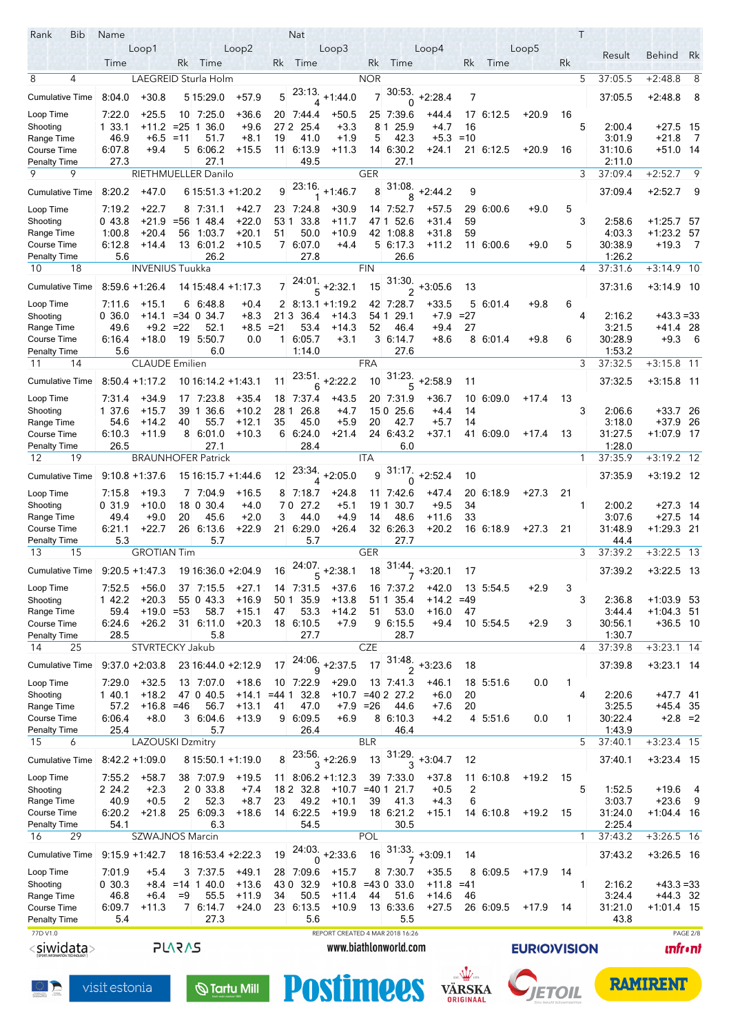| Rank<br>Bib                               | Name              |                        |               |                                   |                        |                | Nat              |                                 |            |                       |                            |        |                   |                    | Τ            |                   |                         |                 |
|-------------------------------------------|-------------------|------------------------|---------------|-----------------------------------|------------------------|----------------|------------------|---------------------------------|------------|-----------------------|----------------------------|--------|-------------------|--------------------|--------------|-------------------|-------------------------|-----------------|
|                                           |                   | Loop1                  |               |                                   | Loop2                  |                |                  | Loop3                           |            |                       | Loop4                      |        |                   | Loop5              |              | Result            | Behind Rk               |                 |
|                                           | Time              |                        |               | Rk Time                           |                        | Rk             | Time             |                                 | Rk         | Time                  |                            | Rk     | Time              |                    | Rk           |                   |                         |                 |
| 8<br>4                                    |                   |                        |               | LAEGREID Sturla Holm              |                        |                |                  |                                 | <b>NOR</b> |                       |                            |        |                   |                    | 5            | 37:05.5           | $+2:48.8$               | 8               |
| <b>Cumulative Time</b>                    | 8.04.0            | $+30.8$                |               | 5 15:29.0                         | $+57.9$                | 5              | 23:13.<br>4      | $+1.44.0$                       |            | 30:53.<br>0           | $+2.28.4$                  | 7      |                   |                    |              | 37:05.5           | $+2:48.8$               | 8               |
| Loop Time                                 | 7:22.0            | $+25.5$                |               | 10 7:25.0                         | +36.6                  |                | 20 7:44.4        | $+50.5$                         |            | 25 7:39.6             | $+44.4$                    |        | 17 6:12.5         | $+20.9$            | 16           |                   |                         |                 |
| Shooting                                  | 1 33.1            | $+11.2$                | $= 25$        | 36.0<br>$\mathbf{1}$              | $+9.6$                 |                | 27 2 25.4        | $+3.3$                          | 81         | 25.9                  | $+4.7$                     | 16     |                   |                    | 5            | 2:00.4            | $+27.5$ 15              |                 |
| Range Time                                | 46.9              | $+6.5 = 11$            |               | 51.7                              | $+8.1$                 | 19             | 41.0             | $+1.9$                          | 5          | 42.3                  | $+5.3$                     | $=10$  |                   |                    |              | 3:01.9            | $+21.8$                 | $\overline{7}$  |
| Course Time                               | 6:07.8            | $+9.4$                 |               | 5 6:06.2                          | +15.5                  |                | 11 6:13.9        | +11.3                           |            | 14 6:30.2             | +24.1                      |        | 21 6:12.5         | $+20.9$            | 16           | 31:10.6           | +51.0 14                |                 |
| Penalty Time<br>9<br>9                    | 27.3              |                        |               | 27.1                              |                        |                | 49.5             |                                 | <b>GER</b> | 27.1                  |                            |        |                   |                    |              | 2:11.0<br>37:09.4 |                         | 9               |
|                                           |                   |                        |               | RIETHMUELLER Danilo               |                        |                | 23:16.           |                                 |            | 31.08.                |                            |        |                   |                    | 3            |                   | $+2:52.7$               |                 |
| <b>Cumulative Time</b>                    | 8:20.2            | $+47.0$                |               | $615.51.3 + 1.20.2$               |                        | 9              |                  | $+1.46.7$                       | 8          |                       | $+2.44.2$                  | 9      |                   |                    |              | 37:09.4           | $+2:52.7$               | - 9             |
| Loop Time                                 | 7.19.2            | $+22.7$                | 8             | 7:31.1                            | $+42.7$                |                | 23 7:24.8        | $+30.9$                         |            | 14 7:52.7             | $+57.5$                    | 29     | 6:00.6            | $+9.0$             | 5            |                   |                         |                 |
| Shooting                                  | 043.8             | $+21.9$                | $= 56$        | 1 48.4                            | $+22.0$                | 531            | 33.8             | $+11.7$                         | 471        | 52.6                  | $+31.4$                    | 59     |                   |                    | 3            | 2:58.6            | +1:25.7                 | -57             |
| Range Time                                | 1:00.8            | $+20.4$<br>$+14.4$     | 56            | 1.03.7                            | $+20.1$                | 51             | 50.0             | +10.9                           |            | 42 1:08.8             | +31.8                      | 59     |                   |                    | 5            | 4:03.3            | $+1.23.2$ 57            |                 |
| <b>Course Time</b><br>Penalty Time        | 6:12.8<br>5.6     |                        |               | 13 6:01.2<br>26.2                 | $+10.5$                |                | 7 6.07.0<br>27.8 | $+4.4$                          |            | 5 6 17 3<br>26.6      | $+11.2$                    |        | 11 6:00.6         | $+9.0$             |              | 30:38.9<br>1:26.2 | $+19.3$                 | - 7             |
| 10<br>18                                  |                   | <b>INVENIUS Tuukka</b> |               |                                   |                        |                |                  |                                 | <b>FIN</b> |                       |                            |        |                   |                    | 4            | 37:31.6           | $+3:14.9$ 10            |                 |
| <b>Cumulative Time</b>                    | $8.59.6 + 1.26.4$ |                        |               | 14 15:48.4 +1:17.3                |                        | $\overline{7}$ |                  | $\frac{1}{5}$ +2:32.1           | 15         | 31:30.                | $+3.05.6$                  | 13     |                   |                    |              | 37:31.6           | $+3.14.9$ 10            |                 |
|                                           |                   |                        |               |                                   |                        |                |                  |                                 |            |                       |                            |        |                   |                    |              |                   |                         |                 |
| Loop Time                                 | 7.11.6<br>0,36.0  | $+15.1$                | 6             | 6:48.8<br>$+14.1$ = 34 0 34.7     | $+0.4$                 | 213            | 36.4             | $2 \times 13.1 + 1.19.2$        | 54 1       | 42 7:28.7<br>29.1     | $+33.5$<br>$+7.9$          | $=27$  | 5 6 0 1 4         | $+9.8$             | 6<br>4       | 2:16.2            | $+43.3 = 33$            |                 |
| Shooting<br>Range Time                    | 49.6              | $+9.2 = 22$            |               | 52.1                              | $+8.3$<br>+8.5         | $= 21$         | 53.4             | $+14.3$<br>+14.3                | 52         | 46.4                  | $+9.4$                     | 27     |                   |                    |              | 3.21.5            | +41.4 28                |                 |
| Course Time                               | 6.16.4            | $+18.0$                | 19            | 5.50.7                            | 0.0                    | $\mathbf{1}$   | 6.05.7           | $+3.1$                          |            | 3 6:14.7              | $+8.6$                     |        | 8 6 0 1 4         | $+9.8$             | 6            | 30:28.9           | $+9.3$                  | - 6             |
| <b>Penalty Time</b>                       | 5.6               |                        |               | 6.0                               |                        |                | 1.14.0           |                                 |            | 27.6                  |                            |        |                   |                    |              | 1:53.2            |                         |                 |
| 14<br>11                                  |                   | <b>CLAUDE</b> Emilien  |               |                                   |                        |                |                  |                                 | <b>FRA</b> |                       |                            |        |                   |                    | 3            | 37:32.5           | $+3:15.8$ 11            |                 |
| <b>Cumulative Time</b>                    |                   | $8:50.4 +1:17.2$       |               | 10 16:14 2 +1:43.1                |                        | 11             | 23:51.<br>6      | $+2:22.2$                       | 10         | 31:23.<br>5           | $+2.58.9$                  | 11     |                   |                    |              | 37:32.5           | $+3.158$ 11             |                 |
| Loop Time                                 | 7 31 4            | +34.9                  | 17            | 7.23.8                            | $+35.4$                |                | 18 7.37.4        | $+43.5$                         |            | 20 7:31.9             | $+36.7$                    | 10     | 6:09.0            | $+17.4$            | 13           |                   |                         |                 |
| Shooting                                  | 1 37.6            | $+15.7$                | 39            | 1 36.6                            | $+10.2$                | 281            | 26.8             | $+4.7$                          |            | 150 25.6              | $+4.4$                     | 14     |                   |                    | 3            | 2:06.6            | $+33.7$ 26              |                 |
| Range Time                                | 54.6              | +14.2                  | 40            | 55.7                              | $+12.1$                | 35             | 45.0             | $+5.9$                          | 20         | 42.7                  | $+5.7$                     | 14     |                   |                    |              | 3:18.0            | +37.9 26                |                 |
| Course Time                               | 6.10.3            | $+11.9$                | 8             | 6:01.0                            | $+10.3$                |                | 66.24.0          | $+21.4$                         |            | 24 6:43.2             | $+37.1$                    |        | 41 6:09.0         | $+17.4$            | 13           | 31:27.5           | +1:07.9 17              |                 |
| <b>Penalty Time</b><br>19<br>12           | 26.5              |                        |               | 27.1<br><b>BRAUNHOFER Patrick</b> |                        |                | 28.4             |                                 | <b>ITA</b> | 6.0                   |                            |        |                   |                    | $\mathbf{1}$ | 1:28.0<br>37:35.9 | $+3:19.2$ 12            |                 |
|                                           |                   |                        |               |                                   |                        |                |                  |                                 |            | 31.17.                |                            |        |                   |                    |              |                   |                         |                 |
| <b>Cumulative Time</b>                    |                   | $9:10.8 + 1:37.6$      |               | 15 16:15 7 +1:44 6                |                        | 12             |                  | $23.34$ , +2:05.0               |            | 0                     | $+2.52.4$                  | 10     |                   |                    |              | 37:35.9           | $+3.19.2$ 12            |                 |
| Loop Time                                 | 7.15.8            | $+19.3$                | 7             | 7.04.9                            | $+16.5$                |                | 8 7:18.7         | $+24.8$                         |            | 11 7:42.6             | $+47.4$                    |        | 20 6:18.9         | $+27.3$            | 21           |                   |                         |                 |
| Shooting                                  | 031.9             | $+10.0$                |               | 18 0 30.4                         | $+4.0$                 |                | 70 27.2          | $+5.1$                          | 19 1       | 30.7                  | $+9.5$                     | 34     |                   |                    | 1            | 2:00.2            | +27.3 14                |                 |
| Range Time<br><b>Course Time</b>          | 49.4<br>6:21.1    | $+9.0$<br>$+22.7$      | 20<br>26      | 45.6<br>6:13.6                    | $+2.0$<br>$+22.9$      | 3<br>21        | 44.0<br>6:29.0   | $+4.9$<br>$+26.4$               | 14         | 48.6<br>32 6:26.3     | $+11.6$<br>$+20.2$         | 33     | 16 6:18.9         | $+27.3$            | 21           | 3:07.6<br>31:48.9 | $+27.5$<br>$+1.29.3$ 21 | - 14            |
| <b>Penalty Time</b>                       | 5.3               |                        |               | 5.7                               |                        |                | 5.7              |                                 |            | 27.7                  |                            |        |                   |                    |              | 44.4              |                         |                 |
| 13<br>15                                  |                   | <b>GROTIAN Tim</b>     |               |                                   |                        |                |                  |                                 | GER        |                       |                            |        |                   |                    | 3            | 37:39.2           | $+3:22.5$               | - 13            |
| Cumulative Time 9:20.5 +1:47.3            |                   |                        |               | 19 16:36.0 +2:04.9                |                        | 16             |                  | $\frac{24.07}{5}$ + 2:38.1      | 18         |                       | $\frac{31.44}{7} + 3.20.1$ | 17     |                   |                    |              | 37:39.2           | $+3.22.5$ 13            |                 |
| Loop Time                                 | 7:52.5            | $+56.0$                |               | 37 7:15.5                         | $+27.1$                |                | 14 7:31.5        | $+37.6$                         | 16         | 7:37.2                | +42.0                      |        | 13 5:54.5         | $+2.9$             | 3            |                   |                         |                 |
| Shooting                                  | 1 42.2            | $+20.3$                |               | 55 0 43.3                         | $+16.9$                | 50 1           | 35.9             | $+13.8$                         |            | 51 1 35.4             | $+14.2$                    | $=49$  |                   |                    | 3            | 2:36.8            | $+1:03.9$ 53            |                 |
| Range Time                                | 59.4              | $+19.0 = 53$           |               | 58.7                              | $+15.1$                | 47             | 53.3             | $+14.2$                         | 51         | 53.0                  | $+16.0$                    | 47     |                   |                    |              | 3:44.4            | $+1.04.3$ 51            |                 |
| Course Time                               | 6.24.6            | $+26.2$                |               | 31 6:11.0                         | $+20.3$                |                | 18 6:10.5        | $+7.9$                          |            | 96:15.5               | $+9.4$                     |        | 10 5:54.5         | $+2.9$             | 3            | 30.56.1           | $+36.5$ 10              |                 |
| <b>Penalty Time</b><br>25<br>14           | 28.5              | STVRTECKY Jakub        |               | 5.8                               |                        |                | 27.7             |                                 | <b>CZE</b> | 28.7                  |                            |        |                   |                    | 4            | 1:30.7<br>37:39.8 | $+3:23.1$ 14            |                 |
|                                           |                   |                        |               |                                   |                        |                | 24:06.           |                                 |            | 31:48.                |                            |        |                   |                    |              |                   |                         |                 |
| <b>Cumulative Time</b>                    | $9:37.0 + 2:03.8$ |                        |               | 23 16:44 0 +2:12 9                |                        | 17             | 9                | $+2:37.5$                       | 17         |                       | $+3:23.6$                  | 18     |                   |                    |              | 37:39.8           | $+3.23.1$ 14            |                 |
| Loop Time                                 | 7.29.0            | $+32.5$                |               | 13 7:07.0                         | $+18.6$                | 10             | 7:22.9           | $+29.0$                         |            | 13 7.41.3             | +46.1                      |        | 18 5:51.6         | 0.0                | 1            |                   |                         |                 |
| Shooting                                  | 140.1             | $+18.2$                |               | 47 0 40.5                         | $+14.1$                | $= 441$        | 32.8             |                                 |            | $+10.7$ =40 2 27.2    | $+6.0$                     | 20     |                   |                    | 4            | 2.20.6            | $+47.7$ 41              |                 |
| Range Time<br>Course Time                 | 57.2<br>6.06.4    | $+16.8 = 46$<br>$+8.0$ |               | 56.7<br>3 6:04.6                  | $+13.1$<br>$+13.9$     | 41             | 47.0<br>9 6:09.5 | $+7.9$<br>$+6.9$                | $= 26$     | 44.6<br>8 6:10.3      | $+7.6$<br>$+4.2$           | 20     | 4 5:51.6          | 0.0                | 1            | 3:25.5<br>30:22.4 | +45.4 35                | $+2.8 = 2$      |
| <b>Penalty Time</b>                       | 25.4              |                        |               | 5.7                               |                        |                | 26.4             |                                 |            | 46.4                  |                            |        |                   |                    |              | 1:43.9            |                         |                 |
| 15<br>6                                   |                   | LAZOUSKI Dzmitry       |               |                                   |                        |                |                  |                                 | <b>BLR</b> |                       |                            |        |                   |                    | 5            | 37:40.1           | $+3:23.4$ 15            |                 |
| <b>Cumulative Time</b>                    |                   | $8.42.2 + 1.09.0$      |               | 8 15 50 1 +1:19.0                 |                        | 8              |                  | $\frac{23.56}{3}$ +2:26.9       | 13         | $31:29.$ <sup>3</sup> | $+3.04.7$                  | 12     |                   |                    |              | 37.40.1           | +3:23.4 15              |                 |
| Loop Time                                 | 7.55.2            | $+58.7$                |               | 38 7:07.9                         | $+19.5$                |                |                  | $11 \quad 8:06.2 + 1:12.3$      |            | 39 7:33.0             | $+37.8$                    |        | $11 \quad 6:10.8$ | $+19.2$            | 15           |                   |                         |                 |
| Shooting                                  | 2 24.2            | $+2.3$                 |               | 2 0 3 3 8                         | $+7.4$                 |                | 18 2 3 2.8       | $+10.7$                         | $= 401$    | 21.7                  | $+0.5$                     | 2      |                   |                    | 5            | 1.52.5            | +19.6                   | 4               |
| Range Time                                | 40.9              | $+0.5$                 | 2             | 52.3                              | $+8.7$                 | 23             | 49.2             | $+10.1$                         | 39         | 41.3                  | $+4.3$                     | 6      |                   |                    |              | 3:03.7            | $+23.6$                 | 9               |
| <b>Course Time</b>                        | 6:20.2            | $+21.8$                |               | 25 6:09.3                         | $+18.6$                |                | 14 6:22.5        | $+19.9$                         |            | 18 6:21.2             | +15.1                      |        | 14 6:10.8         | $+19.2$            | 15           | 31:24.0           | $+1.04.4$ 16            |                 |
| Penalty Time                              | 54.1              |                        |               | 6.3                               |                        |                | 54.5             |                                 |            | 30.5                  |                            |        |                   |                    |              | 2:25.4            |                         |                 |
| 29<br>16                                  |                   | SZWAJNOS Marcin        |               |                                   |                        |                | 24.03.           |                                 | POL        |                       |                            |        |                   |                    | $\mathbf{1}$ | 37:43.2           | $+3:26.5$ 16            |                 |
| <b>Cumulative Time</b>                    | $9:15.9 + 1.42.7$ |                        |               | 18 16 53 4 + 2:22.3               |                        | 19             | $\Omega$         | $+2:33.6$                       | 16         | 31.33.                | $+3:09.1$                  | 14     |                   |                    |              | 37:43.2           | +3:26.5 16              |                 |
| Loop Time                                 | 7:01.9            | $+5.4$                 |               | 3 7:37.5                          | $+49.1$                |                | 28 7:09.6        | $+15.7$                         |            | 8 7:30.7              | $+35.5$                    |        | 8 6:09.5          | $+17.9$            | 14           |                   |                         |                 |
| Shooting                                  | 030.3             |                        |               | $+8.4$ = 14 1 40.0                | $+13.6$                |                | 43 0 32.9        | $+10.8 = 430$                   |            | 33.0                  | $+11.8$                    | $=41$  |                   |                    | 1            | 2:16.2            | $+43.3 = 33$            |                 |
| Range Time                                | 46.8              | $+6.4$                 | $=9$          | 55.5                              | $+11.9$                | 34             | 50.5             | $+11.4$                         | 44         | 51.6                  | $+14.6$                    | 46     |                   |                    |              | 3:24.4            | $+44.3$ 32              |                 |
| <b>Course Time</b><br><b>Penalty Time</b> | 6.09.7<br>5.4     | $+11.3$                |               | 7 6 14 7<br>27.3                  | $+24.0$                |                | 23 6:13.5<br>5.6 | $+10.9$                         |            | 13 6:33.6<br>5.5      | $+27.5$                    |        | 26 6:09.5         | $+17.9$            | 14           | 31:21.0<br>43.8   | $+1.01.4$ 15            |                 |
| 77D V1.0                                  |                   |                        |               |                                   |                        |                |                  | REPORT CREATED 4 MAR 2018 16:26 |            |                       |                            |        |                   |                    |              |                   |                         | PAGE 2/8        |
| <siwidata></siwidata>                     |                   |                        | <b>PLARAS</b> |                                   |                        |                |                  |                                 |            | www.biathlonworld.com |                            |        |                   | <b>EURIOVISION</b> |              |                   |                         | <b>unfr</b> •nt |
|                                           |                   |                        |               |                                   |                        |                |                  |                                 |            |                       |                            |        |                   |                    |              |                   |                         |                 |
|                                           |                   |                        |               |                                   |                        |                |                  |                                 |            |                       |                            |        |                   |                    |              |                   |                         |                 |
|                                           | visit estonia     |                        |               |                                   | $\mathbb Q$ Tartu Mill |                |                  | <b>Postimees</b>                |            |                       |                            | VÄRSKA |                   |                    |              |                   | <b>RAMIRENT</b>         |                 |
|                                           |                   |                        |               |                                   |                        |                |                  |                                 |            |                       |                            |        |                   |                    |              |                   |                         |                 |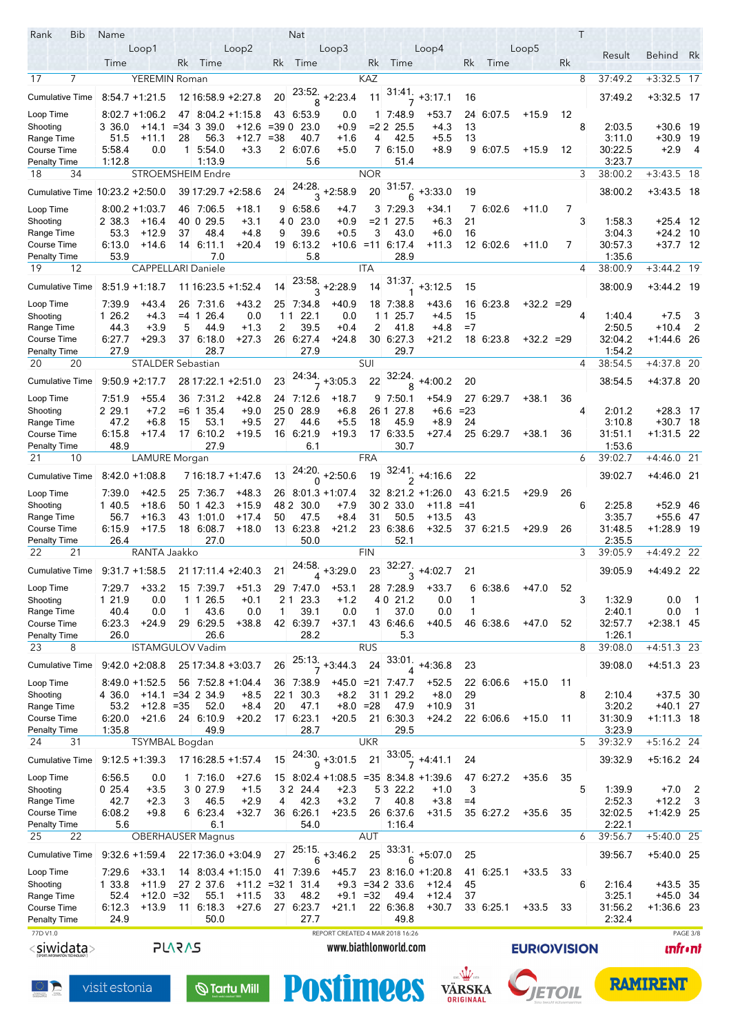| Rank<br>Bib                        | Name             |                           |                 |                           |                        |         | <b>Nat</b>        |                                 |                      |                       |                           |            |           |                    |    | $\top$ |                   |                   |                                           |
|------------------------------------|------------------|---------------------------|-----------------|---------------------------|------------------------|---------|-------------------|---------------------------------|----------------------|-----------------------|---------------------------|------------|-----------|--------------------|----|--------|-------------------|-------------------|-------------------------------------------|
|                                    |                  | Loop1                     |                 |                           | Loop2                  |         |                   | Loop3                           |                      |                       | Loop4                     |            |           | Loop5              |    |        |                   |                   |                                           |
|                                    | Time             |                           | Rk              | Time                      |                        | Rk      | Time              |                                 | Rk                   | Time                  |                           | Rk         | Time      |                    | Rk |        | Result            | <b>Behind</b>     | Rk                                        |
| $\overline{7}$<br>17               |                  | <b>YEREMIN Roman</b>      |                 |                           |                        |         |                   |                                 | <b>KAZ</b>           |                       |                           |            |           |                    |    | 8      | 37:49.2           | $+3:32.5$ 17      |                                           |
| <b>Cumulative Time</b>             |                  | $8.54.7 + 1.21.5$         |                 | 12 16:58 9 + 2:27.8       |                        | 20      |                   | $23:52$ , +2:23.4               | 11                   | 31.41.                | $+3:17.1$                 | 16         |           |                    |    |        | 37:49.2           | $+3.32.5$ 17      |                                           |
|                                    |                  |                           |                 |                           |                        |         | 8                 |                                 |                      |                       |                           |            |           |                    |    |        |                   |                   |                                           |
| Loop Time                          |                  | $8:02.7 + 1:06.2$         |                 | 47 8:04.2 +1:15.8         |                        |         | 43 6.53 9         | 0.0                             |                      | 1 7.48.9              | $+53.7$                   |            | 24 6:07.5 | $+15.9$            | 12 |        |                   |                   |                                           |
| Shooting                           | 3 36.0           | +14.1                     |                 | $= 34 \, 3 \, 39.0$       | $+12.6$                | $= 390$ | 23.0              | $+0.9$                          |                      | $= 2225.5$            | +4.3                      | 13         |           |                    |    | 8      | 2:03.5            | +30.6 19          |                                           |
| Range Time                         | 51.5             | +11.1<br>0.0              | 28              | 56.3                      | +12.7                  | $= 38$  | 40.7              | $+1.6$                          | 4                    | 42.5                  | $+5.5$                    | 13         |           |                    |    |        | 3.11.0            | +30.9 19          |                                           |
| Course Time<br>Penalty Time        | 5:58.4<br>1:12.8 |                           |                 | $1 \t5.54.0$<br>1:13.9    | $+3.3$                 |         | 2 6:07.6<br>5.6   | $+5.0$                          |                      | 7 6:15.0<br>51.4      | $+8.9$                    |            | 9 6:07.5  | $+15.9$            | 12 |        | 30:22.5<br>3.23.7 | $+2.9$            | - 4                                       |
| 18<br>34                           |                  | <b>STROEMSHEIM Endre</b>  |                 |                           |                        |         |                   |                                 | <b>NOR</b>           |                       |                           |            |           |                    |    | 3      | 38:00.2           | $+3:43.5$ 18      |                                           |
|                                    |                  |                           |                 |                           |                        |         | 24:28.            |                                 |                      | 31.57                 |                           |            |           |                    |    |        |                   |                   |                                           |
| Cumulative Time                    |                  | $10:23.2 + 2:50.0$        |                 | 39 17:29 7 + 2:58 6       |                        | 24      | 3                 | $+2.58.9$                       | 20                   | 6                     | $+3:33.0$                 | 19         |           |                    |    |        | 38:00.2           | $+3.43.5$ 18      |                                           |
| Loop Time                          |                  | $8:00.2 + 1:03.7$         |                 | 46 7:06.5                 | +18.1                  |         | 9 6:58.6          | $+4.7$                          |                      | 3 7:29.3              | +34.1                     |            | 7 6:02.6  | $+11.0$            | 7  |        |                   |                   |                                           |
| Shooting                           | 2 38.3           | $+16.4$                   |                 | 40 0 29.5                 | $+3.1$                 | 40      | 23.0              | $+0.9$                          |                      | =2 1 27.5             | $+6.3$                    | 21         |           |                    |    | 3      | 1:58.3            | +25.4 12          |                                           |
| Range Time                         | 53.3             | $+12.9$                   | 37              | 48.4                      | $+4.8$                 | 9       | 39.6              | $+0.5$                          | 3                    | 43.0                  | $+6.0$                    | 16         |           |                    |    |        | 3.04.3            | $+24.2$ 10        |                                           |
| Course Time                        | 6:13.0           | $+14.6$                   |                 | 14 6:11.1                 | +20.4                  |         | 19 6:13.2         |                                 |                      | $+10.6$ = 11 6.17.4   | +11.3                     |            | 12 6:02.6 | $+11.0$            | 7  |        | 30:57.3           | +37.7 12          |                                           |
| Penalty Time                       | 53.9             |                           |                 | 7.0                       |                        |         | 5.8               |                                 |                      | 28.9                  |                           |            |           |                    |    |        | 1:35.6            |                   |                                           |
| 19<br>12                           |                  | <b>CAPPELLARI Daniele</b> |                 |                           |                        |         |                   |                                 | <b>ITA</b>           |                       |                           |            |           |                    |    | 4      | 38:00.9           | $+3:44.2$ 19      |                                           |
| <b>Cumulative Time</b>             |                  | $8:51.9 + 1:18.7$         |                 | 11 16:23 5 +1:52.4        |                        | 14      |                   | $\frac{23.58}{3}$ +2:28.9       | 14                   | 31:37.                | $+3:12.5$                 | 15         |           |                    |    |        | 38:00.9           | $+3.44.2$ 19      |                                           |
|                                    |                  |                           |                 |                           |                        |         |                   |                                 |                      |                       |                           |            |           |                    |    |        |                   |                   |                                           |
| Loop Time                          | 7:39.9           | +43.4                     | 26              | 7:31.6                    | +43.2                  |         | 25 7:34.8         | $+40.9$                         |                      | 18 7:38.8             | +43.6                     |            | 16 6:23.8 | $+32.2 = 29$       |    |        |                   |                   |                                           |
| Shooting<br>Range Time             | 1 26.2<br>44.3   | $+4.3$<br>$+3.9$          | $= 4 \; 1$<br>5 | 26.4<br>44.9              | 0.0<br>$+1.3$          | 11<br>2 | 22.1<br>39.5      | 0.0<br>$+0.4$                   | 11<br>$\overline{2}$ | 25.7<br>41.8          | $+4.5$<br>$+4.8$          | 15<br>$=7$ |           |                    |    | 4      | 1.40.4<br>2:50.5  | $+7.5$<br>+10.4   | -3<br>2                                   |
| Course Time                        | 6:27.7           | +29.3                     |                 | 37 6:18.0                 | $+27.3$                |         | 26 6:27.4         | $+24.8$                         |                      | 30 6:27.3             | $+21.2$                   |            | 18 6:23.8 | $+32.2 = 29$       |    |        | 32:04.2           | +1:44.6 26        |                                           |
| <b>Penalty Time</b>                | 27.9             |                           |                 | 28.7                      |                        |         | 27.9              |                                 |                      | 29.7                  |                           |            |           |                    |    |        | 1:54.2            |                   |                                           |
| 20<br>20                           |                  | STALDER Sebastian         |                 |                           |                        |         |                   |                                 | <b>SUI</b>           |                       |                           |            |           |                    |    | 4      | 38:54.5           | +4:37.8 20        |                                           |
|                                    |                  |                           |                 |                           |                        |         |                   |                                 |                      | $\frac{32.24}{8}$     |                           |            |           |                    |    |        |                   |                   |                                           |
| <b>Cumulative Time</b>             |                  | $9.50.9 + 2.17.7$         |                 | 28 17:22.1 +2:51.0        |                        | 23      |                   | $+3.05.3$                       | 22                   |                       | $+4:00.2$                 | 20         |           |                    |    |        | 38:54.5           | +4:37.8 20        |                                           |
| Loop Time                          | 7:51.9           | $+55.4$                   | 36              | 7:31.2                    | $+42.8$                |         | 24 7:12.6         | $+18.7$                         |                      | 9 7 50 1              | $+54.9$                   |            | 27 6:29 7 | $+38.1$            | 36 |        |                   |                   |                                           |
| Shooting                           | 2 29.1           | $+7.2$                    |                 | $=6 \; 1$<br>35.4         | $+9.0$                 | 25 0    | 28.9              | $+6.8$                          |                      | 26 1 27.8             | $+6.6$                    | $= 23$     |           |                    |    | 4      | 2:01.2            | +28.3 17          |                                           |
| Range Time                         | 47.2             | $+6.8$                    | 15              | 53.1                      | $+9.5$                 | 27      | 44.6              | $+5.5$                          | 18                   | 45.9                  | $+8.9$                    | 24         |           |                    |    |        | 3.10.8            | $+30.7$ 18        |                                           |
| Course Time                        | 6:15.8           | $+17.4$                   |                 | 17 6:10.2                 | $+19.5$                |         | 16 6:21.9         | $+19.3$                         |                      | 17 6:33.5             | +27.4                     |            | 25 6:29 7 | +38.1              | 36 |        | 31:51.1           | +1:31.5 22        |                                           |
| Penalty Time                       | 48.9             |                           |                 | 27.9                      |                        |         | 6.1               |                                 |                      | 30.7                  |                           |            |           |                    |    |        | 1:53.6            |                   |                                           |
| 21<br>10                           |                  | <b>LAMURE</b> Morgan      |                 |                           |                        |         |                   |                                 | <b>FRA</b>           |                       |                           |            |           |                    |    | 6      | 39:02.7           | $+4:46.0$ 21      |                                           |
| <b>Cumulative Time</b>             |                  | $8.42.0 + 1.08.8$         |                 | 7 16:18 7 +1:47.6         |                        | 13      | 0                 | $24.20$ , +2:50.6               | 19                   | $\frac{32.41}{2}$     | +4:16.6                   | 22         |           |                    |    |        | 39:02.7           | $+4.460$ 21       |                                           |
| Loop Time                          | 7.39.0           | $+42.5$                   | 25              | 7:36.7                    | $+48.3$                |         |                   | 26 8 01 3 + 1 07 4              |                      |                       | 32 8:21.2 +1:26.0         |            | 43 6:21.5 | $+29.9$            | 26 |        |                   |                   |                                           |
| Shooting                           | 1 40.5           | $+18.6$                   |                 | 50 1 42.3                 | $+15.9$                | 48 2    | 30.0              | $+7.9$                          |                      | 30 2 33.0             | $+11.8$                   | $=41$      |           |                    |    | 6      | 2:25.8            | +52.9 46          |                                           |
| Range Time                         | 56.7             | $+16.3$                   | 43              | 1:01.0                    | +17.4                  | 50      | 47.5              | $+8.4$                          | 31                   | 50.5                  | $+13.5$                   | 43         |           |                    |    |        | 3.35.7            | +55.6 47          |                                           |
| Course Time                        | 6:15.9           | $+17.5$                   | 18              | 6:08.7                    | +18.0                  | 13      | 6:23.8            | $+21.2$                         |                      | 23 6:38.6             | $+32.5$                   |            | 37 6:21.5 | $+29.9$            | 26 |        | 31:48.5           | $+1.28.9$ 19      |                                           |
| <b>Penalty Time</b>                | 26.4             |                           |                 | 27.0                      |                        |         | 50.0              |                                 |                      | 52.1                  |                           |            |           |                    |    |        | 2:35.5            |                   |                                           |
| 22<br>21                           |                  | RANTA Jaakko              |                 |                           |                        |         |                   |                                 | <b>FIN</b>           |                       |                           |            |           |                    |    | 3      | 39:05.9           | $+4:49.2$ 22      |                                           |
| Cumulative Time                    |                  | $9:31.7 + 1:58.5$         |                 | 21 17:11.4 +2:40.3        |                        | 21      |                   | $24:58$ <sub>+3:29.0</sub>      | 23                   | 32:27.                | $+4:02.7$                 | 21         |           |                    |    |        | 39:05.9           | +4:49.2 22        |                                           |
|                                    |                  |                           |                 |                           |                        |         |                   |                                 |                      |                       |                           |            |           |                    |    |        |                   |                   |                                           |
| Loop Time                          | 7.29.7           | $+33.2$                   | 15              | 7.39.7                    | +51.3                  | 29      | 7:47.0            | +53.1                           |                      | 28 7:28.9             | $+33.7$                   |            | 6 6:38.6  | +47.0              | 52 |        |                   |                   |                                           |
| Shooting                           | 1 21.9           | 0.0                       | 1.              | 26.5<br>1                 | $+0.1$                 | 21      | 23.3              | $+1.2$                          |                      | 4 0 21.2              | 0.0                       |            |           |                    |    | 3      | 1:32.9            | $0.0\,$           | $\blacksquare$                            |
| Range Time                         | 40.4             | 0.0                       | 1               | 43.6                      | 0.0                    | 1       | 39.1<br>42 6:39.7 | 0.0                             | 1                    | 37.0                  | 0.0                       | -1         |           |                    |    |        | 2:40.1            | $0.0\,$           | $\blacksquare$ 1                          |
| Course Time<br><b>Penalty Time</b> | 6.23.3<br>26.0   | $+24.9$                   |                 | 29 6:29.5<br>26.6         | $+38.8$                |         | 28.2              | $+37.1$                         |                      | 43 6:46.6<br>5.3      | +40.5                     |            | 46 6:38.6 | +47.0              | 52 |        | 32.57.7<br>1.26.1 | $+2:38.1$ 45      |                                           |
| 23<br>8                            |                  | <b>ISTAMGULOV Vadim</b>   |                 |                           |                        |         |                   |                                 | <b>RUS</b>           |                       |                           |            |           |                    |    | 8      | 39:08.0           | $+4:51.3$ 23      |                                           |
|                                    |                  |                           |                 |                           |                        |         |                   |                                 |                      | 33:01.                |                           |            |           |                    |    |        |                   |                   |                                           |
| <b>Cumulative Time</b>             |                  | $9.42.0 + 2.08.8$         |                 | 25 17:34 8 +3:03.7        |                        | 26      |                   | $\frac{25:13}{7}$ +3.44.3       | 24                   | 4                     | $+4:36.8$                 | 23         |           |                    |    |        | 39:08.0           | +4:51.3 23        |                                           |
| Loop Time                          |                  | $8:49.0 + 1:52.5$         |                 | 56 7:52.8 +1:04.4         |                        |         | 36 7:38.9         |                                 |                      | $+45.0$ = 21 7:47.7   | $+52.5$                   |            | 22 6:06.6 | $+15.0$            | 11 |        |                   |                   |                                           |
| Shooting                           | 4 36.0           |                           |                 | $+14.1$ = 34 2 34.9       | $+8.5$                 | 22 1    | 30.3              | $+8.2$                          |                      | 31 1 29.2             | $+8.0$                    | 29         |           |                    |    | 8      | 2:10.4            | $+37.5$ 30        |                                           |
| Range Time                         | 53.2             | $+12.8 = 35$              |                 | 52.0                      | $+8.4$                 | 20      | 47.1              |                                 | $+8.0 = 28$          | 47.9                  | $+10.9$                   | 31         |           |                    |    |        | 3:20.2            | $+40.1$ 27        |                                           |
| Course Time                        | 6:20.0           | $+21.6$                   |                 | 24 6:10.9                 | $+20.2$                |         | 17 6:23.1         | $+20.5$                         |                      | 21 6:30.3             | $+24.2$                   |            | 22 6:06.6 | $+15.0$            | 11 |        | 31:30.9           | $+1.11.3$ 18      |                                           |
| Penalty Time                       | 1:35.8           |                           |                 | 49.9                      |                        |         | 28.7              |                                 |                      | 29.5                  |                           |            |           |                    |    |        | 3:23.9            |                   |                                           |
| 31<br>24                           |                  | TSYMBAL Bogdan            |                 |                           |                        |         |                   |                                 | <b>UKR</b>           |                       |                           |            |           |                    |    | 5      | 39:32.9           | $+5:16.2$ 24      |                                           |
| <b>Cumulative Time</b>             |                  | $9:12.5 + 1.39.3$         |                 | 17 16:28 5 +1:57 4        |                        | 15      |                   | $\frac{24:30}{9}$ +3:01.5       | 21                   |                       | $\frac{33.05}{7}$ +4.41.1 | 24         |           |                    |    |        | 39:32.9           | +5:16.2 24        |                                           |
|                                    |                  |                           |                 |                           |                        |         |                   |                                 |                      |                       |                           |            |           |                    |    |        |                   |                   |                                           |
| Loop Time                          | 6.56.5           | 0.0                       |                 | $1 \t7:16.0$              | $+27.6$                |         |                   | 15 8:02.4 +1:08.5               |                      |                       | $=35$ 8:34.8 +1:39.6      |            | 47 6:27.2 | $+35.6$            | 35 |        |                   |                   |                                           |
| Shooting<br>Range Time             | 025.4<br>42.7    | $+3.5$<br>$+2.3$          | 3               | 3 0 27.9<br>46.5          | $+1.5$<br>$+2.9$       | 4       | 32 24.4<br>42.3   | $+2.3$<br>$+3.2$                | $\overline{7}$       | 53 22.2<br>40.8       | $+1.0$<br>$+3.8$          | 3<br>$=4$  |           |                    |    | 5      | 1:39.9<br>2:52.3  | $+7.0$<br>$+12.2$ | $\overline{2}$<br>$\overline{\mathbf{3}}$ |
| Course Time                        | 6:08.2           | $+9.8$                    |                 | 6 6:23.4                  | $+32.7$                |         | 36 6:26.1         | $+23.5$                         |                      | 26 6:37.6             | $+31.5$                   |            | 35 6:27.2 | $+35.6$            | 35 |        | 32:02.5           | $+1.42.9$ 25      |                                           |
| <b>Penalty Time</b>                | 5.6              |                           |                 | 6.1                       |                        |         | 54.0              |                                 |                      | 1:16.4                |                           |            |           |                    |    |        | 2:22.1            |                   |                                           |
| 22<br>25                           |                  | <b>OBERHAUSER Magnus</b>  |                 |                           |                        |         |                   |                                 | AUT                  |                       |                           |            |           |                    |    | 6      | 39:56.7           | $+5:40.0$ 25      |                                           |
|                                    |                  |                           |                 |                           |                        |         | 25:15.            |                                 |                      | 33:31.                |                           |            |           |                    |    |        |                   |                   |                                           |
| <b>Cumulative Time</b>             |                  | $9.32.6 + 1.59.4$         |                 | 22 17:36.0 +3:04.9        |                        | 27      |                   | $6 + 3:46.2$                    | 25                   | 6                     | $+5.07.0$                 | 25         |           |                    |    |        | 39.56.7           | +5:40.0 25        |                                           |
| Loop Time                          | 7.29.6           | $+33.1$                   |                 | $14 \mid 8.03.4 + 1.15.0$ |                        |         | 41 7:39.6         | $+45.7$                         |                      |                       | 23 8:16.0 +1:20.8         |            | 41 6:25.1 | $+33.5$            | 33 |        |                   |                   |                                           |
| Shooting                           | 1 33.8           | $+11.9$                   |                 | 27 2 37.6                 | $+11.2 = 321$          |         | 31.4              |                                 |                      | $+9.3 = 34233.6$      | $+12.4$                   | 45         |           |                    |    | 6      | 2.16.4            | $+43.5$ 35        |                                           |
| Range Time                         | 52.4             | $+12.0 = 32$              |                 | 55.1                      | $+11.5$                | 33      | 48.2              | +9.1                            | $=32$                | 49.4                  | $+12.4$                   | 37         |           |                    |    |        | 3.25.1            | $+45.0$ 34        |                                           |
| Course Time                        | 6:12.3           | $+13.9$                   |                 | $11 \quad 6:18.3$         | $+27.6$                |         | 27 6:23.7         | +21.1                           |                      | 22 6:36.8             | $+30.7$                   |            | 33 6:25.1 | $+33.5$            | 33 |        | 31:56.2           | +1:36.6 23        |                                           |
| <b>Penalty Time</b>                | 24.9             |                           |                 | 50.0                      |                        |         | 27.7              |                                 |                      | 49.8                  |                           |            |           |                    |    |        | 2:32.4            |                   |                                           |
| 77D V1.0                           |                  |                           |                 |                           |                        |         |                   | REPORT CREATED 4 MAR 2018 16:26 |                      |                       |                           |            |           |                    |    |        |                   |                   | PAGE 3/8                                  |
| < <u>siwidata</u> >                |                  |                           | <b>PLARAS</b>   |                           |                        |         |                   |                                 |                      | www.biathlonworld.com |                           |            |           | <b>EURIOVISION</b> |    |        |                   |                   | <b>unfr</b> •nt                           |
|                                    |                  |                           |                 |                           |                        |         |                   |                                 |                      |                       |                           |            |           |                    |    |        |                   |                   |                                           |
|                                    |                  |                           |                 |                           |                        |         |                   |                                 |                      |                       |                           |            |           |                    |    |        |                   |                   |                                           |
|                                    | visit estonia    |                           |                 |                           | $\mathbb Q$ Tartu Mill |         |                   | <b>Postimees</b>                |                      |                       |                           | VÄRSKA     |           |                    |    |        |                   | <b>RAMIRENT</b>   |                                           |
|                                    |                  |                           |                 |                           |                        |         |                   |                                 |                      |                       |                           |            |           |                    |    |        |                   |                   |                                           |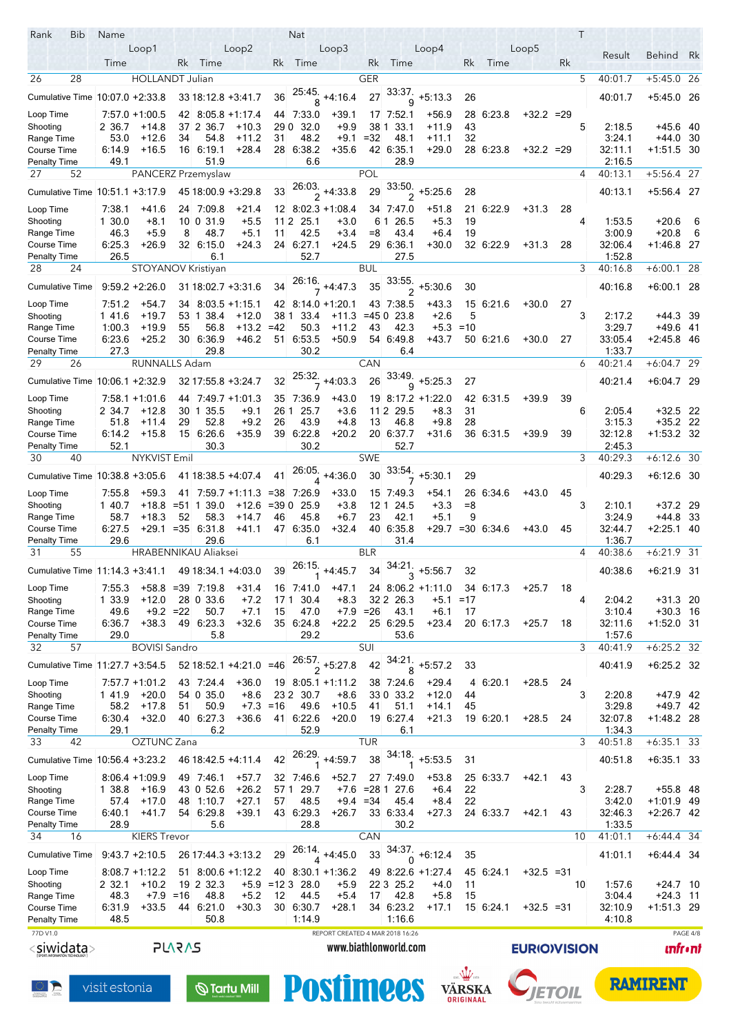| Rank                               | Bib | Name           |                                 |               |                        |                        |              | Nat               |                                 |             |                                 |                           |                          |                  |                    |    | T  |                   |                          |                 |
|------------------------------------|-----|----------------|---------------------------------|---------------|------------------------|------------------------|--------------|-------------------|---------------------------------|-------------|---------------------------------|---------------------------|--------------------------|------------------|--------------------|----|----|-------------------|--------------------------|-----------------|
|                                    |     |                | Loop1                           |               |                        | Loop2                  |              |                   | Loop3                           |             |                                 | Loop4                     |                          |                  | Loop <sub>5</sub>  |    |    | Result            | Behind Rk                |                 |
|                                    |     | Time           |                                 | Rk            | Time                   |                        | Rk           | Time              |                                 | Rk          | Time                            |                           | Rk                       | Time             |                    | Rk |    |                   |                          |                 |
| 26                                 | 28  |                | <b>HOLLANDT Julian</b>          |               |                        |                        |              |                   |                                 | GER         |                                 |                           |                          |                  |                    |    | 5  | 40:01.7           | $+5:45.0$ 26             |                 |
| Cumulative Time                    |     |                | $10:07.0 + 2:33.8$              |               | 33 18 12 8 +3 41 7     |                        | 36           |                   | $\frac{25.45}{8}$ +4:16.4       | 27          | 33:37.<br>9                     | $+5:13.3$                 | 26                       |                  |                    |    |    | 40:01.7           | $+5.45.0$ 26             |                 |
| Loop Time                          |     |                | $7.57.0 + 1.00.5$               |               | 42 8:05.8 +1:17.4      |                        | 44           | 7:33.0            | $+39.1$                         |             | 17 7:52.1                       | $+56.9$                   |                          | 28 6:23.8        | $+32.2 = 29$       |    |    |                   |                          |                 |
| Shooting                           |     | 2 36.7         | $+14.8$                         |               | 37 2 36.7              | $+10.3$                | 29 0         | 32.0              | $+9.9$                          |             | 38 1 33.1                       | +11.9                     | 43                       |                  |                    |    | 5  | 2:18.5            | +45.6 40                 |                 |
| Range Time                         |     | 53.0           | $+12.6$                         | 34            | 54.8                   | $+11.2$                | 31           | 48.2              | +9.1                            | $=32$       | 48.1                            | +11.1                     | 32                       |                  |                    |    |    | 3:24.1            | $+44.0$ 30               |                 |
| Course Time                        |     | 6:14.9         | $+16.5$                         |               | 16 6:19.1              | $+28.4$                |              | 28 6:38.2         | $+35.6$                         |             | 42 6:35.1                       | $+29.0$                   |                          | 28 6.23.8        | $+32.2 = 29$       |    |    | 32:11.1           | +1:51.5 30               |                 |
| Penalty Time<br>27                 | 52  | 49.1           | PANCERZ Przemyslaw              |               | 51.9                   |                        |              | 6.6               |                                 | POL         | 28.9                            |                           |                          |                  |                    |    | 4  | 2:16.5<br>40:13.1 | $+5:56.4$ 27             |                 |
|                                    |     |                |                                 |               |                        |                        |              |                   |                                 |             |                                 |                           |                          |                  |                    |    |    |                   |                          |                 |
| Cumulative Time 10:51.1 +3:17.9    |     |                |                                 |               | 45 18:00.9 +3:29.8     |                        | 33           |                   | $\frac{26.03}{2}$ +4:33.8       | 29          |                                 | $\frac{33.50}{2}$ +5:25.6 | 28                       |                  |                    |    |    | 40:13.1           | +5.56.4 27               |                 |
| Loop Time                          |     | 7:38.1         | +41.6                           |               | 24 7:09.8              | $+21.4$                |              |                   | $12 \mid 8.02.3 + 1.08.4$       |             | 34 7:47.0                       | $+51.8$                   | 21                       | 6.22.9           | $+31.3$            | 28 |    |                   |                          |                 |
| Shooting<br>Range Time             |     | 1 30.0<br>46.3 | $+8.1$<br>$+5.9$                | 8             | 10 0 31.9<br>48.7      | $+5.5$<br>$+5.1$       | 11 2<br>11   | 25.1<br>42.5      | $+3.0$<br>$+3.4$                | $=8$        | 6 1 2 6 5<br>43.4               | $+5.3$<br>$+6.4$          | 19<br>19                 |                  |                    |    | 4  | 1:53.5<br>3:00.9  | $+20.6$<br>$+20.8$       | 6<br>- 6        |
| Course Time                        |     | 6:25.3         | $+26.9$                         |               | 32 6:15.0              | $+24.3$                |              | 24 6:27.1         | $+24.5$                         |             | 29 6:36.1                       | +30.0                     |                          | 32 6:22.9        | $+31.3$            | 28 |    | 32:06.4           | $+1.46.8$ 27             |                 |
| Penalty Time                       |     | 26.5           |                                 |               | 6.1                    |                        |              | 52.7              |                                 |             | 27.5                            |                           |                          |                  |                    |    |    | 1:52.8            |                          |                 |
| 28                                 | 24  |                | STOYANOV Kristiyan              |               |                        |                        |              |                   |                                 | <b>BUL</b>  |                                 |                           |                          |                  |                    |    | 3  | 40:16.8           | $+6:00.1$ 28             |                 |
| <b>Cumulative Time</b>             |     |                | $9:59.2 + 2:26.0$               |               |                        | $31\,18.02.7 + 3.31.6$ | 34           |                   | $\frac{26.16}{7}$ +4.47.3       | 35          |                                 | $\frac{33.55}{2}$ +5:30.6 | 30                       |                  |                    |    |    | 40:16.8           | $+6.00.1$ 28             |                 |
| Loop Time                          |     | 7:51.2         | +54.7                           |               | 34 8:03.5 +1:15.1      |                        |              |                   | 42 8:14.0 +1:20.1               |             | 43 7:38.5                       | +43.3                     |                          | 15 6:21.6        | $+30.0$            | 27 |    |                   |                          |                 |
| Shooting                           |     | 1 41.6         | $+19.7$                         |               | 53 1 38.4              | $+12.0$                | 381          | 33.4              | $+11.3$                         |             | $= 45023.8$                     | $+2.6$                    | 5                        |                  |                    |    | 3  | 2:17.2            | $+44.3$ 39               |                 |
| Range Time                         |     | 1:00.3         | $+19.9$                         | 55            | 56.8                   | $+13.2$                | $=42$        | 50.3              | $+11.2$                         | 43          | 42.3                            | $+5.3$                    | $=10$                    |                  |                    |    |    | 3.29.7            | $+49.6$ 41               |                 |
| Course Time                        |     | 6.23.6         | $+25.2$                         |               | 30 6:36 9<br>29.8      | $+46.2$                |              | 51 6:53.5<br>30.2 | $+50.9$                         |             | 54 6:49.8                       | $+43.7$                   |                          | 50 6:21.6        | $+30.0$            | 27 |    | 33:05.4<br>1:33.7 | $+2.45.8$ 46             |                 |
| Penalty Time<br>29                 | 26  | 27.3           | RUNNALLS Adam                   |               |                        |                        |              |                   |                                 | CAN         | 6.4                             |                           |                          |                  |                    |    | 6  | 40:21.4           | $+6:04.7$ 29             |                 |
|                                    |     |                |                                 |               |                        |                        |              |                   |                                 |             | 33:49.                          |                           |                          |                  |                    |    |    |                   |                          |                 |
|                                    |     |                | Cumulative Time 10:06.1 +2:32.9 |               | 32 17:55.8 +3:24.7     |                        | 32           | .25:32<br>7       | $+4.03.3$                       | 26          | $\mathsf{Q}$                    | $+5:25.3$                 | 27                       |                  |                    |    |    | 40:21.4           | $+6.04.7$ 29             |                 |
| Loop Time                          |     |                | $7.58.1 + 1.01.6$               |               | 44 7.49.7 +1.01.3      |                        |              | 35 7:36.9         | $+43.0$                         |             |                                 | 19 8:17.2 +1:22.0         |                          | 42 6:31.5        | $+39.9$            | 39 |    |                   |                          |                 |
| Shooting<br>Range Time             |     | 2 34.7<br>51.8 | $+12.8$<br>$+11.4$              | 30 1<br>29    | 35.5<br>52.8           | $+9.1$<br>$+9.2$       | 26 1<br>26   | 25.7<br>43.9      | $+3.6$<br>$+4.8$                | 13          | 11 2 29.5<br>46.8               | $+8.3$<br>$+9.8$          | 31<br>28                 |                  |                    |    | 6  | 2:05.4<br>3.15.3  | $+32.5$ 22<br>$+35.2$ 22 |                 |
| Course Time                        |     | 6:14.2         | $+15.8$                         |               | 15 6:26 6              | $+35.9$                |              | 39 6:22.8         | $+20.2$                         |             | 20 6:37.7                       | +31.6                     |                          | 36 6:31.5        | $+39.9$            | 39 |    | 32:12.8           | +1:53.2 32               |                 |
| Penalty Time                       |     | 52.1           |                                 |               | 30.3                   |                        |              | 30.2              |                                 |             | 52.7                            |                           |                          |                  |                    |    |    | 2:45.3            |                          |                 |
| 30                                 | 40  |                | NYKVIST Emil                    |               |                        |                        |              |                   |                                 | <b>SWE</b>  |                                 |                           |                          |                  |                    |    | 3  | 40:29.3           | $+6:12.6$ 30             |                 |
| Cumulative Time 10:38.8 +3:05.6    |     |                |                                 |               |                        | 41 18:38 5 +4:07.4     | 41           | 26.05.<br>4       | $+4.36.0$                       | 30          | 33:54                           | $+5:30.1$                 | 29                       |                  |                    |    |    | 40:29.3           | $+6.126$ 30              |                 |
| Loop Time                          |     | 7:55.8         | $+59.3$                         |               |                        | 41 7:59 7 +1:11.3      |              | $=38$ 7:26.9      | $+33.0$                         |             | 15 7:49.3                       | +54.1                     |                          | 26 6 34 6        | $+43.0$            | 45 |    |                   |                          |                 |
| Shooting                           |     | 1 40.7         | $+18.8$                         | $= 511$       | 39.0                   | $+12.6$                | $= 390$      | 25.9              | $+3.8$                          | 121         | 24.5                            | $+3.3$                    | $=8$                     |                  |                    |    | 3  | 2:10.1            | $+37.2$ 29               |                 |
| Range Time                         |     | 58.7           | $+18.3$                         | 52            | 58.3                   | $+14.7$                | 46           | 45.8              | $+6.7$                          | 23          | 42.1                            | $+5.1$                    | 9                        |                  |                    |    |    | 3.24.9            | $+44.8$ 33               |                 |
| Course Time<br>Penalty Time        |     | 6:27.5<br>29.6 | +29.1                           |               | $=35$ 6:31.8<br>29.6   | $+41.1$                |              | 47 6:35 0<br>6.1  | $+32.4$                         |             | 40 6:35.8<br>31.4               |                           |                          | +29.7 =30 6.34.6 | $+43.0$            | 45 |    | 32:44.7<br>1 36 7 | $+2:25.1$ 40             |                 |
| 31                                 | 55  |                | HRABENNIKAU Aliaksei            |               |                        |                        |              |                   |                                 | <b>BLR</b>  |                                 |                           |                          |                  |                    |    | 4  | 40:38.6           | $+6:21.9$ 31             |                 |
|                                    |     |                |                                 |               |                        | 49 18:34 1 +4:03.0     | 39           |                   | $26:15$ +4.45.7                 | 34          | 34.21.                          | $+5:56.7$                 | 32                       |                  |                    |    |    | 40:38.6           | $+6.21.9$ 31             |                 |
|                                    |     |                | Cumulative Time 11:14.3 +3.41.1 |               |                        |                        |              |                   |                                 |             |                                 |                           |                          |                  |                    |    |    |                   |                          |                 |
| Loop Time                          |     | 7:55.3         | $+58.8 = 39$                    |               | 7.19.8                 | $+31.4$                | 16           | 7:41.0            | $+47.1$                         |             |                                 | $24$ 8:06.2 +1:11.0       |                          | 34 6.17.3        | $+25.7$            | 18 | 4  |                   |                          |                 |
| Shooting<br>Range Time             |     | 1 33.9<br>49.6 | $+12.0$<br>$+9.2 = 22$          | 28            | 0 33.6<br>50.7         | $+7.2$<br>$+7.1$       | 171<br>15    | 30.4<br>47.0      | $+8.3$                          | $+7.9 = 26$ | 32 2 2 6.3<br>43.1              | +5.1<br>$+6.1$            | $=17$<br>17              |                  |                    |    |    | 2:04.2<br>3:10.4  | $+31.3$ 20<br>$+30.3$ 16 |                 |
| Course Time                        |     | 6.36.7         | $+38.3$                         | 49            | 6:23.3                 | $+32.6$                |              | 35 6:24.8         | $+22.2$                         |             | 25 6:29.5                       | $+23.4$                   |                          | 20 6:17.3        | $+25.7$            | 18 |    | 32:11.6           | $+1:52.0$ 31             |                 |
| <b>Penalty Time</b>                |     | 29.0           |                                 |               | 5.8                    |                        |              | 29.2              |                                 |             | 53.6                            |                           |                          |                  |                    |    |    | 1:57.6            |                          |                 |
| 32                                 | 57  |                | <b>BOVISI Sandro</b>            |               |                        |                        |              |                   |                                 | SUI         |                                 |                           |                          |                  |                    |    | 3  | 40:41.9           | $+6:25.2$ 32             |                 |
| Cumulative Time 11:27.7 +3:54.5    |     |                |                                 |               |                        | 52 18:52.1 +4:21.0 =46 |              | .57<br>2          | $+5:27.8$                       | 42          | 34:21.<br>8                     | $+5.57.2$                 | 33                       |                  |                    |    |    | 40:41.9           | $+6:25.2$ 32             |                 |
| Loop Time                          |     |                | $7.57.7 + 1.01.2$               |               | 43 7:24.4              | $+36.0$                |              |                   | $19$ 8.05.1 +1.11.2             |             | 38 7.24.6                       | $+29.4$                   |                          | $4 \ 6:20.1$     | $+28.5$            | 24 |    |                   |                          |                 |
| Shooting                           |     | 1 41.9         | $+20.0$                         |               | 54 0 35.0              | $+8.6$                 |              | 23 2 30.7         | $+8.6$                          |             | 33 0 33.2                       | $+12.0$                   | 44                       |                  |                    |    | 3  | 2.20.8            | $+47.9$ 42               |                 |
| Range Time                         |     | 58.2           | $+17.8$                         | 51            | 50.9                   |                        | $+7.3 = 16$  | 49.6              | $+10.5$                         | 41          | 51.1                            | +14.1                     | 45                       |                  |                    |    |    | 3:29.8            | $+49.7$ 42               |                 |
| Course Time<br><b>Penalty Time</b> |     | 6:30.4<br>29.1 | $+32.0$                         |               | 40 6:27.3<br>6.2       | $+36.6$                |              | 41 6:22.6<br>52.9 | $+20.0$                         |             | 19 6:27.4<br>6.1                | $+21.3$                   |                          | 19 6:20.1        | $+28.5$            | 24 |    | 32:07.8<br>1:34.3 | $+1.48.2$ 28             |                 |
| 33                                 | 42  |                | <b>OZTUNC</b> Zana              |               |                        |                        |              |                   |                                 | <b>TUR</b>  |                                 |                           |                          |                  |                    |    | 3  | 40:51.8           | $+6:35.1$ 33             |                 |
| Cumulative Time 10:56.4 +3:23.2    |     |                |                                 |               | 46 18:42.5 +4:11.4     |                        | 42           |                   | $26.29$ <sub>1</sub> +4:59.7    | 38          | 34:18.                          | $+5:53.5$                 | 31                       |                  |                    |    |    | 40:51.8           | $+6:35.1$ 33             |                 |
|                                    |     |                |                                 |               |                        |                        |              |                   |                                 |             |                                 |                           |                          |                  |                    |    |    |                   |                          |                 |
| Loop Time<br>Shooting              |     | 1 38.8         | $8.06.4 + 1.09.9$<br>$+16.9$    |               | 49 7:46.1<br>43 0 52.6 | $+57.7$<br>$+26.2$     | 57 1         | 32 7:46.6<br>29.7 | $+52.7$                         |             | 27 7:49.0<br>$+7.6$ = 28 1 27.6 | $+53.8$<br>$+6.4$         | 22                       | 25 6:33.7        | +42.1              | 43 | 3  | 2.28.7            | $+55.8$ 48               |                 |
| Range Time                         |     | 57.4           | $+17.0$                         | 48            | 1.10.7                 | $+27.1$                | 57           | 48.5              |                                 | $+9.4 = 34$ | 45.4                            | $+8.4$                    | 22                       |                  |                    |    |    | 3:42.0            | $+1.01.9$ 49             |                 |
| Course Time                        |     | 6:40.1         | $+41.7$                         |               | 54 6:29.8              | $+39.1$                |              | 43 6:29.3         | $+26.7$                         |             | 33 6:33.4                       | $+27.3$                   |                          | 24 6:33.7        | +42.1              | 43 |    | 32:46.3           | $+2:26.7$ 42             |                 |
| Penalty Time                       |     | 28.9           |                                 |               | 5.6                    |                        |              | 28.8              |                                 |             | 30.2                            |                           |                          |                  |                    |    |    | 1:33.5            |                          |                 |
| 34                                 | 16  |                | <b>KIERS Trevor</b>             |               |                        |                        |              |                   |                                 | CAN         |                                 |                           |                          |                  |                    |    | 10 | 41:01.1           | $+6:44.4$ 34             |                 |
| <b>Cumulative Time</b>             |     |                | $9.43.7 + 2.10.5$               |               |                        | 26 17 44 3 +3 13 2     | 29           | 26:14.<br>4       | $+4.45.0$                       | 33          | $\frac{34.37}{0}$               | $+6:12.4$                 | 35                       |                  |                    |    |    | 41:01.1           | $+6.44.4$ 34             |                 |
| Loop Time                          |     |                | $8:08.7 + 1:12.2$               |               |                        | $51$ 8.00.6 +1.12.2    |              |                   | 40 8:30.1 +1:36.2               |             |                                 | 49 8:22.6 +1:27.4         |                          | 45 6:24.1        | $+32.5 = 31$       |    |    |                   |                          |                 |
| Shooting                           |     | 2 3 2.1        | $+10.2$                         |               | 19 2 32.3              |                        | $+5.9 = 123$ | 28.0              | $+5.9$                          |             | 22 3 25.2                       | $+4.0$                    | 11                       |                  |                    |    | 10 | 1:57.6            | $+24.7$ 10               |                 |
| Range Time<br>Course Time          |     | 48.3<br>6.31.9 | $+7.9$<br>$+33.5$               | $=16$         | 48.8<br>44 6:21.0      | $+5.2$<br>$+30.3$      | 12           | 44.5<br>30 6:30.7 | $+5.4$<br>$+28.1$               | 17          | 42.8<br>34 6:23.2               | $+5.8$<br>$+17.1$         | 15                       | 15 6:24.1        | $+32.5 = 31$       |    |    | 3:04.4<br>32:10.9 | $+24.3$ 11<br>+1:51.3 29 |                 |
| <b>Penalty Time</b>                |     | 48.5           |                                 |               | 50.8                   |                        |              | 1:14.9            |                                 |             | 1:16.6                          |                           |                          |                  |                    |    |    | 4:10.8            |                          |                 |
| 77D V1.0                           |     |                |                                 |               |                        |                        |              |                   | REPORT CREATED 4 MAR 2018 16:26 |             |                                 |                           |                          |                  |                    |    |    |                   |                          | PAGE 4/8        |
| < <u>siwidata</u> >                |     |                |                                 | <b>PLARAS</b> |                        |                        |              |                   |                                 |             | www.biathlonworld.com           |                           |                          |                  | <b>EURIOVISION</b> |    |    |                   |                          | <u> เทfr•nt</u> |
|                                    |     |                |                                 |               |                        |                        |              |                   |                                 |             |                                 |                           |                          |                  |                    |    |    |                   |                          |                 |
|                                    |     |                |                                 |               |                        |                        |              |                   |                                 |             |                                 |                           | $\frac{1}{\log\sqrt{1}}$ |                  |                    |    |    |                   | <b>RAMIRENT</b>          |                 |
|                                    |     | visit estonia  |                                 |               |                        | $\mathbb Q$ Tartu Mill |              |                   | <b>Postimees</b>                |             |                                 |                           | <b>VÄRSKA</b>            |                  |                    |    |    |                   |                          |                 |
|                                    |     |                |                                 |               |                        |                        |              |                   |                                 |             |                                 |                           |                          |                  |                    |    |    |                   |                          |                 |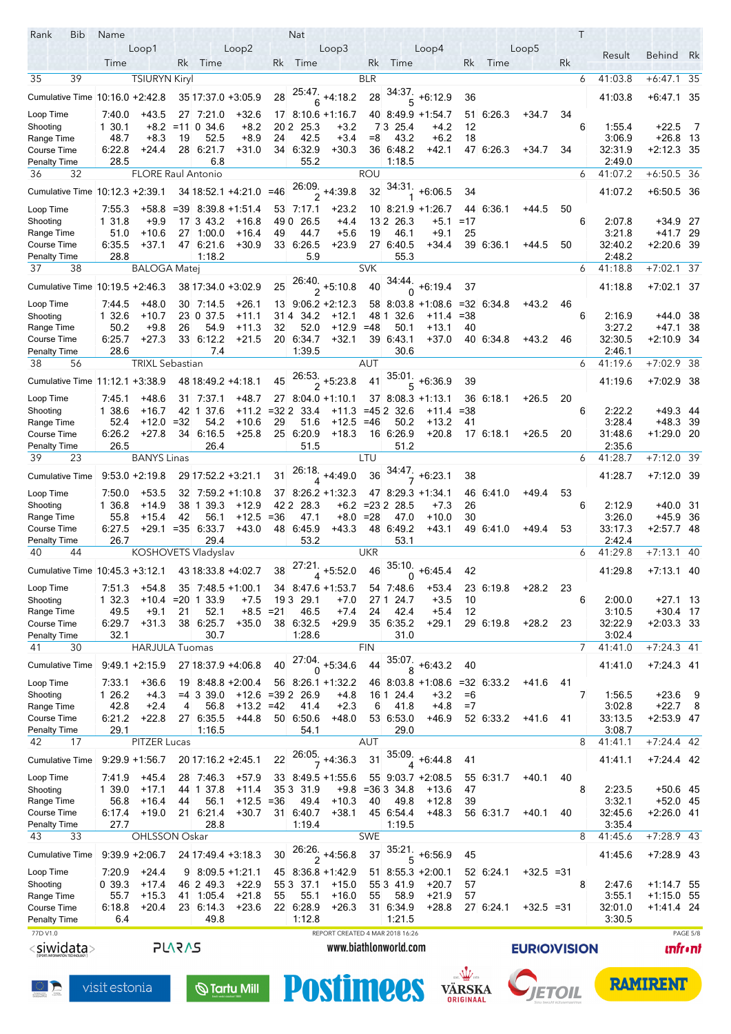| Rank<br>Bib                        | Name             |                           |               |                                 |                             |           | <b>Nat</b>          |                                 |               |                        |                                |               |              |                     |    | $\top$ |                   |                            |                |
|------------------------------------|------------------|---------------------------|---------------|---------------------------------|-----------------------------|-----------|---------------------|---------------------------------|---------------|------------------------|--------------------------------|---------------|--------------|---------------------|----|--------|-------------------|----------------------------|----------------|
|                                    |                  | Loop1                     |               |                                 | Loop2                       |           |                     | Loop3                           |               |                        | Loop4                          |               |              | Loop5               |    |        | Result            | Behind Rk                  |                |
|                                    | Time             |                           | Rk            | Time                            |                             | Rk        | Time                |                                 | Rk            | Time                   |                                | Rk            | Time         |                     | Rk |        |                   |                            |                |
| 35<br>39                           |                  | <b>TSIURYN Kiryl</b>      |               |                                 |                             |           |                     |                                 | <b>BLR</b>    |                        |                                |               |              |                     |    | 6      | 41:03.8           | +6:47.1                    | 35             |
| Cumulative Time 10:16.0 +2:42.8    |                  |                           |               | 35 17:37 0 +3:05.9              |                             | 28        |                     | $\frac{25.47}{6}$ +4:18.2       | 28            | 34:37.<br>5            | $+6:12.9$                      | 36            |              |                     |    |        | 41:03.8           | $+6:47.1$ 35               |                |
| Loop Time                          | 7:40.0           | $+43.5$                   |               | 27 7:21.0                       | $+32.6$                     |           |                     | $17 \, 8.106 + 1.16.7$          |               |                        | 40 8:49.9 +1:54.7              | 51            | 6:26.3       | $+34.7$             | 34 |        |                   |                            |                |
| Shooting                           | 1 30.1           | $+8.2$                    |               | $= 11034.6$                     | $+8.2$                      |           | 20 2 25.3           | $+3.2$                          |               | 7 3 2 5.4              | $+4.2$                         | 12            |              |                     |    | 6      | 1.55.4            | $+22.5$                    | -7             |
| Range Time                         | 48.7             | $+8.3$                    | 19            | 52.5                            | $+8.9$                      | 24        | 42.5                | $+3.4$                          | $= 8$         | 43.2                   | $+6.2$                         | 18            |              |                     |    |        | 3:06.9            | $+26.8$ 13                 |                |
| Course Time                        | 6.22.8           | $+24.4$                   |               | 28 6:21.7                       | $+31.0$                     |           | 34 6:32.9           | $+30.3$                         |               | 36 6:48.2              | $+42.1$                        |               | 47 6:26.3    | $+34.7$             | 34 |        | 32:31.9           | $+2:12.3$ 35               |                |
| <b>Penalty Time</b><br>36<br>32    | 28.5             | <b>FLORE Raul Antonio</b> |               | 6.8                             |                             |           | 55.2                |                                 | <b>ROU</b>    | 1:18.5                 |                                |               |              |                     |    |        | 2:49.0<br>41:07.2 | $+6:50.5$ 36               |                |
|                                    |                  |                           |               |                                 |                             |           |                     |                                 |               |                        |                                |               |              |                     |    | 6      |                   |                            |                |
| Cumulative Time 10:12.3 +2:39.1    |                  |                           |               |                                 | 34 18:52.1 +4:21.0 =46      |           |                     | $\frac{26.09}{2}$ +4:39.8       | 32            |                        | $34.31$ , +6:06.5              | 34            |              |                     |    |        | 41:07.2           | $+6:50.5$ 36               |                |
| Loop Time                          | 7.55.3           | +58.8                     |               | $= 39$ 8:39.8 +1:51.4           |                             |           | 53 7:17.1           | $+23.2$                         |               |                        | $10$ 8:21.9 +1:26.7            |               | 44 6:36.1    | $+44.5$             | 50 |        |                   |                            |                |
| Shooting                           | 1 31.8           | +9.9                      |               | 17 3 43.2                       | $+16.8$                     | 49 0      | 26.5                | $+4.4$                          |               | 13 2 26 3              | +5.1                           | $=17$         |              |                     |    | 6      | 2:07.8            | $+34.9$ 27                 |                |
| Range Time                         | 51.0             | $+10.6$<br>$+37.1$        | 27            | 1:00.0                          | $+16.4$                     | 49        | 44.7                | $+5.6$                          | 19            | 46.1<br>27 6:40.5      | $+9.1$                         | 25            | 39 6:36.1    |                     |    |        | 3:21.8            | +41.7 29                   |                |
| Course Time<br><b>Penalty Time</b> | 6:35.5<br>28.8   |                           |               | 47 6:21.6<br>1:18.2             | $+30.9$                     |           | 33 6:26.5<br>5.9    | +23.9                           |               | 55.3                   | $+34.4$                        |               |              | +44.5               | 50 |        | 32:40.2<br>2:48.2 | $+2:20.6$ 39               |                |
| 37<br>38                           |                  | <b>BALOGA Matej</b>       |               |                                 |                             |           |                     |                                 | <b>SVK</b>    |                        |                                |               |              |                     |    | 6      | 41:18.8           | $+7:02.1$ 37               |                |
| Cumulative Time 10:19.5 +2:46.3    |                  |                           |               | 38 17:34 0 +3:02.9              |                             | 25        |                     | $\frac{26.40}{2}$ +5:10.8       | 40            | 34:44.                 | $+6.19.4$                      | 37            |              |                     |    |        | 41:18.8           | $+7.02.1$ 37               |                |
|                                    |                  |                           |               |                                 |                             |           |                     |                                 |               | $\Omega$               |                                |               |              |                     |    |        |                   |                            |                |
| Loop Time                          | 7.44.5           | $+48.0$                   |               | 30 7:14.5                       | $+26.1$                     |           |                     | $13$ 9:06.2 +2:12.3             |               |                        | $58$ 8.03.8 +1.08.6 =32 6.34.8 |               |              | $+43.2$             | 46 |        |                   |                            |                |
| Shooting<br>Range Time             | 1 32.6<br>50.2   | $+10.7$<br>$+9.8$         | 26            | 23 0 37.5<br>54.9               | $+11.1$<br>$+11.3$          | 314<br>32 | 34.2<br>52.0        | $+12.1$<br>$+12.9$              | 48 1<br>$=48$ | 32.6<br>50.1           | $+11.4 = 38$<br>$+13.1$        | 40            |              |                     |    | 6      | 2:16.9<br>3:27.2  | $+44.0$ 38<br>$+47.1$ 38   |                |
| Course Time                        | 6.25.7           | $+27.3$                   |               | 33 6:12.2                       | $+21.5$                     |           | 20 6:34.7           | $+32.1$                         |               | 39 6:43.1              | $+37.0$                        |               | 40 6:34.8    | $+43.2$             | 46 |        | 32:30.5           | $+2.109$ 34                |                |
| <b>Penalty Time</b>                | 28.6             |                           |               | 7.4                             |                             |           | 1:39.5              |                                 |               | 30.6                   |                                |               |              |                     |    |        | 2:46.1            |                            |                |
| 38<br>56                           |                  | <b>TRIXL Sebastian</b>    |               |                                 |                             |           |                     |                                 | <b>AUT</b>    |                        |                                |               |              |                     |    | 6      | 41:19.6           | $+7:02.9$ 38               |                |
| Cumulative Time 11:12.1 +3:38.9    |                  |                           |               | 48 18:49.2 +4:18.1              |                             | 45        |                     | $\frac{26.53}{2}$ +5:23.8       | 41            |                        | $5 + 6.36.9$                   | 39            |              |                     |    |        | 41:19.6           | $+7.02.9$ 38               |                |
| Loop Time                          | 7:45.1           | +48.6                     |               | 31 7:37.1                       | +48.7                       |           |                     | $27 \, 8.04 \, 0 + 1.10 \, 1$   |               |                        | 37 8:08.3 +1:13.1              |               | 36 6:18.1    | $+26.5$             | 20 |        |                   |                            |                |
| Shooting                           | 1 38.6           | $+16.7$                   |               | 42 1 37.6                       | $+11.2$                     | $= 322$   | 33.4                | $+11.3$                         | $= 452$       | 32.6                   | $+11.4$                        | =38           |              |                     |    | 6      | 2:22.2            | +49.3 44                   |                |
| Range Time                         | 52.4             | +12.0                     | $=32$         | 54.2                            | $+10.6$                     | 29        | 51.6                | $+12.5$                         | =46           | 50.2                   | $+13.2$                        | 41            |              |                     |    |        | 3:28.4            | $+48.3$ 39                 |                |
| Course Time                        | 6:26.2           | $+27.8$                   |               | 34 6:16.5                       | $+25.8$                     |           | 25 6:20.9           | $+18.3$                         |               | 16 6:26 9              | $+20.8$                        |               | 17 6:18.1    | $+26.5$             | 20 |        | 31:48.6           | $+1.29.0$ 20               |                |
| <b>Penalty Time</b>                | 26.5             |                           |               | 26.4                            |                             |           | 51.5                |                                 |               | 51.2                   |                                |               |              |                     |    |        | 2:35.6            |                            |                |
| 23<br>39                           |                  | <b>BANYS Linas</b>        |               |                                 |                             |           |                     |                                 | LTU           |                        |                                |               |              |                     |    | 6      | 41:28.7           | $+7:12.\overline{0}$ 39    |                |
| <b>Cumulative Time</b>             |                  | $9:53.0 + 2:19.8$         |               | 29 17:52.2 +3:21.1              |                             | 31        | 26.18.              | $\frac{6}{4}$ +4:49.0           | 36            |                        | $+6:23.1$                      | 38            |              |                     |    |        | 41:28.7           | $+7.12.0$ 39               |                |
| Loop Time                          | 7.50.0           | $+53.5$                   | 32            |                                 | $7.59.2 + 1.10.8$           |           |                     | $37 \quad 8.26.2 \quad +1.32.3$ |               |                        | 47 8:29.3 +1:34.1              |               | 46 6410      | $+49.4$             | 53 |        |                   |                            |                |
| Shooting                           | 1 36.8           | $+14.9$                   |               | 38 1 39 3                       | $+12.9$                     | 42 2      | 28.3                | $+6.2$                          | $= 232$       | 28.5                   | $+7.3$                         | 26            |              |                     |    | 6      | 2:12.9            | $+40.0$ 31                 |                |
| Range Time                         | 55.8             | $+15.4$                   | 42            | 56.1                            | $+12.5$                     | $= 36$    | 47.1                | $+8.0$                          | $=28$         | 47.0                   | $+10.0$                        | 30            |              |                     |    |        | 3.26.0            | +45.9 36                   |                |
| Course Time<br><b>Penalty Time</b> | 6.27.5<br>26.7   | +29.1                     | $= 35$        | 6:33.7<br>29.4                  | $+43.0$                     |           | 48 6:45.9<br>53.2   | $+43.3$                         |               | 48 6:49.2<br>53.1      | +43.1                          |               | 49 6410      | $+49.4$             | 53 |        | 33:17.3<br>2:42.4 | $+2.57.748$                |                |
| 40<br>44                           |                  | KOSHOVETS Vladyslav       |               |                                 |                             |           |                     |                                 | UKR           |                        |                                |               |              |                     |    | 6      | 41:29.8           | $+7:13.1$ 40               |                |
| Cumulative Time 10:45.3 +3:12.1    |                  |                           |               |                                 | 43 18:33.8 +4:02.7          | 38        | 27:21.              | $+5.52.0$                       | 46            | 35:10.                 | $+6.45.4$                      | 42            |              |                     |    |        | 41:29.8           | $+7.13.1$ 40               |                |
|                                    |                  |                           |               |                                 |                             |           |                     |                                 |               |                        |                                |               |              |                     |    |        |                   |                            |                |
| Loop Time<br>Shooting              | 7.51.3<br>1 32.3 | $+54.8$<br>$+10.4$        | 35<br>$=20$   | 1 33.9                          | $7.48.5 + 1.00.1$<br>$+7.5$ | 193       | 29.1                | 34 8:47.6 +1:53.7<br>$+7.0$     |               | 54 7:48.6<br>27 1 24.7 | +53.4<br>$+3.5$                | 10            | 23 6:19.8    | $+28.2$             | 23 | 6      | 2:00.0            | $+27.1$ 13                 |                |
| Range Time                         | 49.5             | $+9.1$                    | 21            | 52.1                            | $+8.5 = 21$                 |           | 46.5                | $+7.4$                          | 24            | 42.4                   | $+5.4$                         | 12            |              |                     |    |        | 3:10.5            | $+30.4$ 17                 |                |
| Course Time                        | 6:29.7           | $+31.3$                   | 38            | 6.25.7                          | $+35.0$                     |           | 38 6:32.5           | $+29.9$                         |               | 35 6:35.2              | +29.1                          |               | 29 6:19.8    | $+28.2$             | 23 |        | 32:22.9           | $+2:03.3$ 33               |                |
| <b>Penalty Time</b>                | 32.1             |                           |               | 30.7                            |                             |           | 1:28.6              |                                 |               | 31.0                   |                                |               |              |                     |    |        | 3.02.4            |                            |                |
| 30<br>41                           |                  | <b>HARJULA Tuomas</b>     |               |                                 |                             |           |                     |                                 | <b>FIN</b>    |                        |                                |               |              |                     |    | 7      | 41:41.0           | $+7:24.3$ 41               |                |
| <b>Cumulative Time</b>             |                  | $9.49.1 + 2.15.9$         |               | 27 18:37.9 +4:06.8              |                             | 40        | 27:04.<br>$\Omega$  | $+5.34.6$                       | 44            | .35:07<br>8            | $+6:43.2$                      | 40            |              |                     |    |        | 41.41.0           | $+7.24.3$ 41               |                |
| Loop Time                          | 7.33.1           | $+36.6$                   | 19            | $8.48.8 + 2.00.4$               |                             |           |                     | 56 8:26.1 +1:32.2               |               |                        | 46 8:03.8 +1:08.6              |               | $=32$ 6:33.2 | $+41.6$             | 41 |        |                   |                            |                |
| Shooting                           | 1 26.2           | $+4.3$                    |               | $= 4$ 3 39.0                    |                             |           | $+12.6$ = 39 2 26.9 | $+4.8$                          |               | 16 1 24 4              | $+3.2$                         | $=6$          |              |                     |    | 7      | 1:56.5            | $+23.6$                    | -9             |
| Range Time                         | 42.8             | $+2.4$                    | 4             | 56.8                            | $+13.2 = 42$                |           | 41.4                | $+2.3$                          | 6             | 41.8                   | $+4.8$                         | $=7$          |              |                     |    |        | 3:02.8            | $+22.7$                    | - 8            |
| Course Time                        | 6.21.2           | $+22.8$                   |               | 27 6:35.5                       | $+44.8$                     |           | 50 6:50.6           | $+48.0$                         |               | 53 6:53.0              | $+46.9$                        |               | 52 6:33.2    | +41.6               | 41 |        | 33:13.5           | $+2:53.9$ 47               |                |
| <b>Penalty Time</b><br>42<br>17    | 29.1             | <b>PITZER Lucas</b>       |               | 1.16.5                          |                             |           | 54.1                |                                 | AUT           | 29.0                   |                                |               |              |                     |    | 8      | 3:08.7<br>41:41.1 | $+7:24.4$ 42               |                |
|                                    |                  |                           |               |                                 |                             |           |                     |                                 |               |                        |                                |               |              |                     |    |        |                   |                            |                |
| <b>Cumulative Time</b>             |                  | $9:29.9 + 1.56.7$         |               | 20 17:16.2 +2:45.1              |                             | 22        |                     | $\frac{26.05}{7}$ +4:36.3       | 31            |                        | $\frac{35.09}{4}$ +6:44.8      | 41            |              |                     |    |        | 41:41.1           | $+7.24.4$ 42               |                |
| Loop Time                          | 7419             | $+45.4$                   | 28            | 7:46.3                          | $+57.9$                     |           |                     | 33 8.49.5 +1.55.6               |               |                        | 55 9:03.7 +2:08.5              |               | 55 6:31.7    | $+40.1$             | 40 |        |                   |                            |                |
| Shooting                           | 1 39.0           | $+17.1$                   |               | 44 1 37.8                       | $+11.4$                     |           | 35 3 31.9           | +9.8                            |               | $=36334.8$             | +13.6                          | 47            |              |                     |    | 8      | 2:23.5            | $+50.6$ 45                 |                |
| Range Time                         | 56.8<br>6.17.4   | $+16.4$                   | 44            | 56.1<br>21 6:21.4               | $+12.5$<br>$+30.7$          | $= 36$    | 49.4<br>31 6:40.7   | $+10.3$<br>$+38.1$              | 40            | 49.8<br>45 6:54.4      | $+12.8$<br>$+48.3$             | 39            |              |                     | 40 |        | 3:32.1<br>32:45.6 | $+52.0$ 45<br>$+2:26.0$ 41 |                |
| Course Time<br><b>Penalty Time</b> | 27.7             | $+19.0$                   |               | 28.8                            |                             |           | 1:19.4              |                                 |               | 1:19.5                 |                                |               | 56 6:31.7    | $+40.1$             |    |        | 3:35.4            |                            |                |
| 33<br>43                           |                  | OHLSSON Oskar             |               |                                 |                             |           |                     |                                 | <b>SWE</b>    |                        |                                |               |              |                     |    | 8      | 41:45.6           | $+7:28.9$ 43               |                |
| <b>Cumulative Time</b>             |                  | $9:39.9 + 2:06.7$         |               | 24 17 49 4 +3 18 3              |                             | 30        |                     | $\frac{26:26}{2}$ +4:56.8       | 37            |                        | $\frac{35:21}{5} + 6:56.9$     | 45            |              |                     |    |        | 41:45.6           | +7:28.9 43                 |                |
|                                    |                  |                           |               |                                 |                             |           |                     |                                 |               |                        |                                |               |              |                     |    |        |                   |                            |                |
| Loop Time<br>Shooting              | 7:20.9<br>039.3  | $+24.4$<br>$+17.4$        |               | $9$ 8:09.5 +1:21.1<br>46 2 49.3 | $+22.9$                     |           | 55 3 37.1           | 45 8:36.8 +1:42.9<br>$+15.0$    |               | 55 3 41.9              | 51 8:55.3 +2:00.1<br>$+20.7$   | 57            | 52 6:24.1    | $+32.5 = 31$        |    | 8      | 2.47.6            | +1:14.7 55                 |                |
| Range Time                         | 55.7             | $+15.3$                   |               | 41 1:05.4                       | $+21.8$                     | 55        | 55.1                | $+16.0$                         | 55            | 58.9                   | $+21.9$                        | 57            |              |                     |    |        | 3:55.1            | $+1:15.0$ 55               |                |
| Course Time                        | 6.18.8           | $+20.4$                   |               | 23 6:14.3                       | $+23.6$                     |           | 22 6:28.9           | $+26.3$                         |               | 31 6:34.9              | $+28.8$                        |               | 27 6:24.1    | $+32.5 = 31$        |    |        | 32:01.0           | +1:41.4 24                 |                |
| <b>Penalty Time</b>                | 6.4              |                           |               | 49.8                            |                             |           | 1:12.8              |                                 |               | 1:21.5                 |                                |               |              |                     |    |        | 3:30.5            |                            |                |
| 77D V1.0                           |                  |                           |               |                                 |                             |           |                     | REPORT CREATED 4 MAR 2018 16:26 |               |                        |                                |               |              |                     |    |        |                   |                            | PAGE 5/8       |
| < <u>siwidata</u> >                |                  |                           | <b>SVSV75</b> |                                 |                             |           |                     |                                 |               | www.biathlonworld.com  |                                |               |              | <b>EURIO)VISION</b> |    |        |                   |                            | <b>unfront</b> |
|                                    |                  |                           |               |                                 |                             |           |                     |                                 |               |                        |                                |               |              |                     |    |        |                   |                            |                |
|                                    | visit estonia    |                           |               |                                 |                             |           |                     |                                 |               |                        |                                |               |              |                     |    |        |                   | <b>RAMIRENT</b>            |                |
|                                    |                  |                           |               |                                 | $\bigcirc$ Tartu Mill       |           |                     | <b>Postimees</b>                |               |                        |                                | <b>VÄRSKA</b> |              |                     |    |        |                   |                            |                |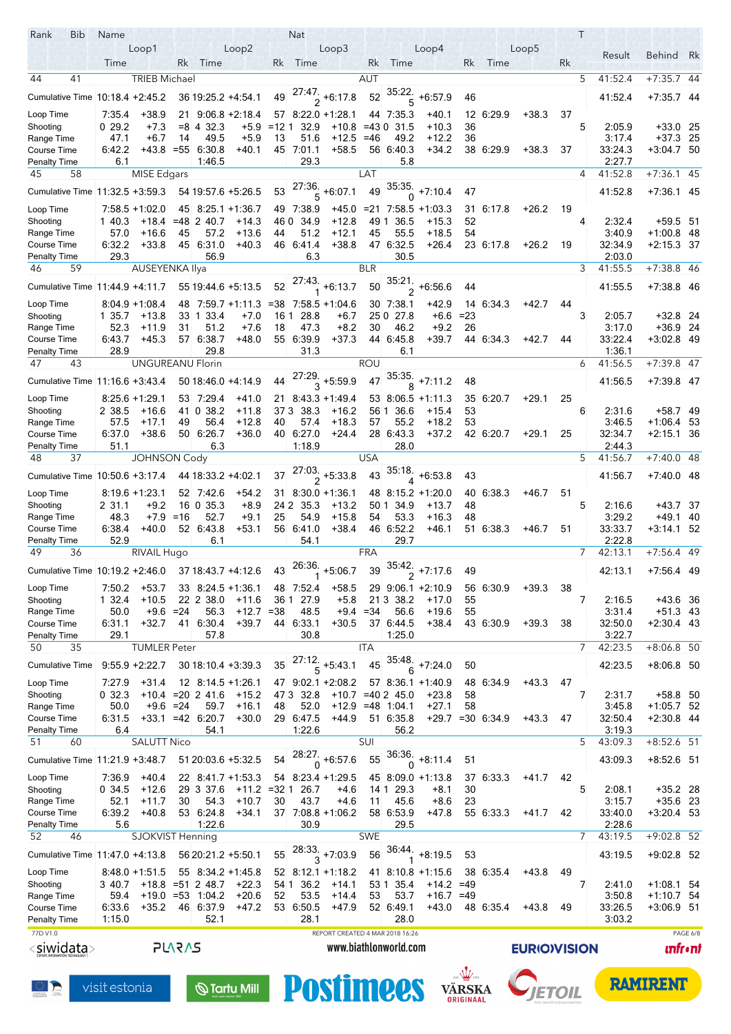| Rank<br>Bib                                        | Name             |                          |               |                                          |                        |            | <b>Nat</b>        |                                            |            |                         |                                            |          |                     |                     |    | $\top$ |                   |                              |                 |
|----------------------------------------------------|------------------|--------------------------|---------------|------------------------------------------|------------------------|------------|-------------------|--------------------------------------------|------------|-------------------------|--------------------------------------------|----------|---------------------|---------------------|----|--------|-------------------|------------------------------|-----------------|
|                                                    |                  | Loop1                    |               |                                          | Loop2                  |            |                   | Loop3                                      |            |                         | Loop4                                      |          |                     | Loop5               |    |        | Result            | Behind Rk                    |                 |
|                                                    | Time             |                          | Rk            | Time                                     |                        | Rk         | Time              |                                            | Rk         | Time                    |                                            | Rk       | Time                |                     | Rk |        |                   |                              |                 |
| 44<br>41                                           |                  | <b>TRIEB Michael</b>     |               |                                          |                        |            |                   |                                            | <b>AUT</b> |                         |                                            |          |                     |                     |    | 5      | 41:52.4           | $+7:35.7$ 44                 |                 |
| Cumulative Time 10:18.4 +2:45.2                    |                  |                          |               | 36 19:25.2 +4:54.1                       |                        | 49         |                   | $\frac{27.47}{2}$ +6.17.8                  | 52         | .35:22<br>5             | $+6.57.9$                                  | 46       |                     |                     |    |        | 41:52.4           | $+7.35.7$ 44                 |                 |
| Loop Time                                          | 7:35.4           | $+38.9$                  | 21            |                                          | $9:06.8 + 2:18.4$      |            |                   | $57$ $8:22.0$ +1:28.1                      |            | 44 7:35.3               | +40.1                                      |          | 12 6:29.9           | $+38.3$             | 37 |        |                   |                              |                 |
| Shooting                                           | 029.2            | $+7.3$                   |               | $= 8$ 4 32.3                             | +5.9                   | $=121$     | 32.9              | $+10.8$                                    |            | =43 0 31.5              | $+10.3$                                    | 36       |                     |                     |    | 5      | 2:05.9            | $+33.0$ 25                   |                 |
| Range Time                                         | 47.1             | $+6.7$                   | 14            | 49.5                                     | $+5.9$                 | 13         | 51.6              | $+12.5$                                    | $=46$      | 49.2                    | $+12.2$                                    | 36       |                     |                     |    |        | 3.17.4            | $+37.3$ 25                   |                 |
| Course Time                                        | 6:42.2           | $+43.8 = 55$             |               | 6.30.8<br>1.46.5                         | $+40.1$                |            | 45 7:01.1<br>29.3 | $+58.5$                                    |            | 56 6:40.3               | $+34.2$                                    |          | 38 6:29.9           | $+38.3$             | 37 |        | 33:24.3<br>2:27.7 | $+3.04.7$ 50                 |                 |
| <b>Penalty Time</b><br>45<br>58                    | 6.1              | <b>MISE Edgars</b>       |               |                                          |                        |            |                   |                                            | LAT        | 5.8                     |                                            |          |                     |                     |    | 4      | 41:52.8           | $+7:36.1$ 45                 |                 |
|                                                    |                  |                          |               |                                          |                        |            |                   |                                            |            |                         |                                            |          |                     |                     |    |        |                   |                              |                 |
| Cumulative Time 11:32.5 +3:59.3                    |                  |                          |               | 54 19:57.6 +5:26.5                       |                        | 53         | .27:36<br>5       | $+6.07.1$                                  | 49         |                         | $\frac{35.35}{0}$ +7:10.4                  | 47       |                     |                     |    |        | 41:52.8           | +7:36.1 45                   |                 |
| Loop Time                                          |                  | $7:58.5 + 1:02.0$        |               | 45 8:25.1 +1:36.7                        |                        |            | 49 7:38.9         | +45.0                                      |            |                         | $= 21 \ 7:58.5 + 1:03.3$                   | 31       | 6:17.8              | $+26.2$             | 19 |        |                   |                              |                 |
| Shooting<br>Range Time                             | 1 40.3<br>57.0   | +18.4<br>$+16.6$         | 45            | $= 48$ 2 40.7<br>57.2                    | $+14.3$<br>$+13.6$     | 46 0<br>44 | 34.9<br>51.2      | +12.8<br>$+12.1$                           | 49 1<br>45 | 36.5<br>55.5            | +15.3<br>$+18.5$                           | 52<br>54 |                     |                     |    | 4      | 2:32.4<br>3:40.9  | $+59.5$ 51<br>$+1.00.8$ 48   |                 |
| Course Time                                        | 6:32.2           | $+33.8$                  |               | 45 6:31 0                                | $+40.3$                |            | 46 6:41.4         | $+38.8$                                    |            | 47 6:32.5               | $+26.4$                                    |          | 23 6:17.8           | $+26.2$             | 19 |        | 32:34.9           | $+2.15.3$ 37                 |                 |
| <b>Penalty Time</b>                                | 29.3             |                          |               | 56.9                                     |                        |            | 6.3               |                                            |            | 30.5                    |                                            |          |                     |                     |    |        | 2:03.0            |                              |                 |
| 46<br>59                                           |                  | AUSEYENKA Ilya           |               |                                          |                        |            |                   |                                            | <b>BLR</b> |                         |                                            |          |                     |                     |    | 3      | 41:55.5           | $+7:38.8$ 46                 |                 |
| Cumulative Time 11:44.9 +4:11.7                    |                  |                          |               | 55 19:44 6 +5:13.5                       |                        | 52         |                   | $\frac{27.43}{1}$ +6:13.7                  | 50         | $\frac{35.21}{2}$       | $+6.56.6$                                  | 44       |                     |                     |    |        | 41:55.5           | $+7.38.8$ 46                 |                 |
| Loop Time                                          |                  | 8:04.9 + 1:08.4          |               |                                          |                        |            |                   | 48 7:59.7 +1:11.3 =38 7:58.5 +1:04.6       |            | 30 7:38.1               | $+42.9$                                    |          | 14 6 34 3           | $+42.7$             | 44 |        |                   |                              |                 |
| Shooting                                           | 1 35.7           | +13.8                    |               | 33 1 33 4                                | $+7.0$                 | 16 1       | 28.8              | $+6.7$                                     |            | 25 0 27.8               | $+6.6$                                     | $= 23$   |                     |                     |    | 3      | 2:05.7            | $+32.8$ 24                   |                 |
| Range Time                                         | 52.3             | +11.9                    | 31            | 51.2                                     | $+7.6$                 | 18         | 47.3              | $+8.2$                                     | 30         | 46.2                    | $+9.2$                                     | 26       |                     |                     |    |        | 3.17.0            | $+36.9$ 24                   |                 |
| Course Time                                        | 6:43.7           | $+45.3$                  |               | 57 6:38.7                                | +48.0                  |            | 55 6:39.9         | $+37.3$                                    |            | 44 6 45 8               | $+39.7$                                    |          | 44 6 34 3           | +42.7               | 44 |        | 33:22.4           | +3:02.8 49                   |                 |
| <b>Penalty Time</b><br>47<br>43                    | 28.9             | <b>UNGUREANU Florin</b>  |               | 29.8                                     |                        |            | 31.3              |                                            | <b>ROU</b> | 6.1                     |                                            |          |                     |                     |    | 6      | 1:36.1<br>41:56.5 | $+7:39.8$ 47                 |                 |
|                                                    |                  |                          |               |                                          |                        |            |                   |                                            |            |                         |                                            |          |                     |                     |    |        |                   |                              |                 |
| Cumulative Time 11:16.6 +3:43.4                    |                  |                          |               | 50 18:46 0 +4:14.9                       |                        | 44         |                   | $\frac{27.29}{3}$ +5:59.9                  |            |                         | $\overline{47}$ $\overline{35.35}$ +7:11.2 | 48       |                     |                     |    |        | 41:56.5           | $+7.39.8$ 47                 |                 |
| Loop Time                                          |                  | $8:25.6 + 1:29.1$        |               | 53 7:29.4                                | $+41.0$                |            |                   | 21 8:43.3 +1:49.4                          |            |                         | 53 8:06.5 +1:11.3                          |          | 35 6:20 7           | $+29.1$             | 25 |        |                   |                              |                 |
| Shooting                                           | 2 38.5           | $+16.6$                  |               | 41 0 38.2                                | $+11.8$                | 373        | 38.3              | $+16.2$                                    | 56 1       | 36.6                    | $+15.4$                                    | 53       |                     |                     |    | 6      | 2:31.6            | +58.7 49                     |                 |
| Range Time<br>Course Time                          | 57.5<br>6.37.0   | $+17.1$<br>$+38.6$       | 49            | 56.4<br>50 6:26 7                        | $+12.8$<br>$+36.0$     | 40         | 57.4<br>40 6.27 0 | $+18.3$<br>$+24.4$                         | 57         | 55.2<br>28 6.43.3       | $+18.2$<br>$+37.2$                         | 53       | 42 6:20 7           | $+29.1$             | 25 |        | 3:46.5<br>32:34.7 | $+1.06.4$ 53<br>$+2.151$ 36  |                 |
| <b>Penalty Time</b>                                | 51.1             |                          |               | 6.3                                      |                        |            | 1:18.9            |                                            |            | 28.0                    |                                            |          |                     |                     |    |        | 2:44.3            |                              |                 |
| 37<br>48                                           |                  | <b>JOHNSON Cody</b>      |               |                                          |                        |            |                   |                                            | <b>USA</b> |                         |                                            |          |                     |                     |    | 5      | 41:56.7           | +7:40.0 48                   |                 |
| Cumulative Time 10:50.6 +3:17.4                    |                  |                          |               | 44 18:33.2 +4:02.1                       |                        | 37         |                   | $\frac{27.03}{2}$ +5.33.8                  | 43         | 35:18.                  | $+6.53.8$                                  | 43       |                     |                     |    |        | 41:56.7           | $+7.40.0$ 48                 |                 |
|                                                    |                  |                          |               |                                          |                        |            |                   |                                            |            | $\overline{\mathbf{A}}$ |                                            |          |                     |                     |    |        |                   |                              |                 |
| Loop Time<br>Shooting                              | 2 31.1           | 8:19.6 +1:23.1<br>$+9.2$ |               | 52 7:42.6<br>16 0 35.3                   | $+54.2$<br>$+8.9$      | 24 2       | 35.3              | $31 \quad 8.30.0 \quad +1.36.1$<br>$+13.2$ | 50 1       | 34.9                    | 48 8:15.2 +1:20.0<br>$+13.7$               | 48       | 40 6:38.3           | $+46.7$             | 51 | 5      | 2:16.6            | +43.7 37                     |                 |
| Range Time                                         | 48.3             | $+7.9$                   | =16           | 52.7                                     | $+9.1$                 | 25         | 54.9              | $+15.8$                                    | 54         | 53.3                    | $+16.3$                                    | 48       |                     |                     |    |        | 3:29.2            | $+49.1$ 40                   |                 |
| Course Time                                        | 6:38.4           | $+40.0$                  |               | 52 6:43.8                                | $+53.1$                | 56         | 6:41.0            | $+38.4$                                    |            | 46 6.52.2               | +46.1                                      |          | 51 6:38.3           | $+46.7$             | 51 |        | 33:33.7           | $+3.14.1$ 52                 |                 |
| <b>Penalty Time</b>                                | 52.9             |                          |               | 6.1                                      |                        |            | 54.1              |                                            |            | 29.7                    |                                            |          |                     |                     |    |        | 2:22.8            |                              |                 |
| 49<br>36                                           |                  | RIVAIL Hugo              |               |                                          |                        |            |                   |                                            | <b>FRA</b> |                         |                                            |          |                     |                     |    | 7      | 42:13.1           | $+7:56.4$ 49                 |                 |
| Cumulative Time 10:19.2 +2:46.0 37 18:43.7 +4:12.6 |                  |                          |               |                                          |                        | 43         |                   | $26:36$ +5:06.7                            |            |                         | $39^{35.42}$ , +7.17.6                     | 49       |                     |                     |    |        | 42:13.1           | $+7.56.4$ 49                 |                 |
| Loop Time                                          | 7:50.2           | $+53.7$                  |               | 33 8:24 5 +1:36.1                        |                        |            | 48 7:52.4         | $+58.5$                                    |            |                         | 29 9:06.1 +2:10.9                          |          | 56 6:30.9           | $+39.3$             | 38 |        |                   |                              |                 |
| Shooting                                           | 1 32.4           | $+10.5$                  |               | 22 2 38.0                                | $+11.6$                | 361        | 27.9              | $+5.8$                                     |            | 21 3 38.2               | $+17.0$                                    | 55       |                     |                     |    | 7      | 2:16.5            | +43.6 36                     |                 |
| Range Time                                         | 50.0             | $+9.6 = 24$              |               | 56.3                                     | $+12.7 = 38$           |            | 48.5              | $+9.4$                                     | $= 34$     | 56.6                    | $+19.6$                                    | 55       |                     |                     |    |        | 3:31.4            | $+51.3$ 43                   |                 |
| Course Time<br><b>Penalty Time</b>                 | 6:31.1<br>29.1   | $+32.7$                  |               | 41 6:30.4<br>57.8                        | $+39.7$                |            | 44 6:33.1<br>30.8 | $+30.5$                                    |            | 37 6:44.5<br>1:25.0     | $+38.4$                                    |          | 43 6:30.9           | $+39.3$             | 38 |        | 32:50.0<br>3:22.7 | $+2:30.4$ 43                 |                 |
| 50<br>35                                           |                  | <b>TUMLER Peter</b>      |               |                                          |                        |            |                   |                                            | <b>ITA</b> |                         |                                            |          |                     |                     |    | 7      | 42:23.5           | $+8:06.8$ 50                 |                 |
| <b>Cumulative Time</b>                             |                  | $9:55.9 + 2:22.7$        |               | 30 18:10 4 +3:39.3                       |                        | 35         | 27:12.<br>5       | $+5.43.1$                                  | 45         | 35:48.                  | $+7:24.0$                                  | 50       |                     |                     |    |        | 42:23.5           | +8:06.8 50                   |                 |
|                                                    |                  |                          |               |                                          |                        |            |                   |                                            |            |                         |                                            |          |                     |                     |    |        |                   |                              |                 |
| Loop Time<br>Shooting                              | 7.27.9<br>0 32.3 | $+31.4$                  |               | 12 8:14 5 +1:26.1<br>$+10.4 = 20$ 2 41.6 | $+15.2$                |            | 47 3 32.8         | 47 9:02.1 +2:08.2                          |            | $+10.7$ =40 2 45.0      | $57$ 8:36.1 +1:40.9<br>$+23.8$             | 58       | 48 6:34.9           | $+43.3$             | 47 | 7      | 2:31.7            | +58.8 50                     |                 |
| Range Time                                         | 50.0             |                          | $+9.6 = 24$   | 59.7                                     | $+16.1$                | 48         | 52.0              |                                            |            | $+12.9$ =48 1.04.1      | $+27.1$                                    | 58       |                     |                     |    |        | 3:45.8            | $+1:05.7$ 52                 |                 |
| Course Time                                        | 6:31.5           |                          |               | $+33.1 = 42$ 6:20.7                      | $+30.0$                |            | 29 6:47.5         | +44.9                                      |            | 51 6:35.8               |                                            |          | $+29.7 = 30$ 6:34.9 | $+43.3$             | 47 |        | 32:50.4           | $+2:30.8$ 44                 |                 |
| <b>Penalty Time</b>                                | 6.4              |                          |               | 54.1                                     |                        |            | 1:22.6            |                                            |            | 56.2                    |                                            |          |                     |                     |    |        | 3:19.3            |                              |                 |
| 51<br>60                                           |                  | <b>SALUTT Nico</b>       |               |                                          |                        |            |                   |                                            | SUI        |                         |                                            |          |                     |                     |    | 5      | 43:09.3           | $+8:52.6$ 51                 |                 |
| Cumulative Time 11:21.9 +3:48.7                    |                  |                          |               | 51 20:03.6 +5:32.5                       |                        | 54         |                   | $\frac{28:27}{0}$ +6:57.6                  | 55         | 36:36.<br>0             | $+8.11.4$                                  | 51       |                     |                     |    |        | 43:09.3           | $+8:52.6$ 51                 |                 |
| Loop Time                                          | 7:36.9           | $+40.4$                  |               | 22 8:41.7 +1:53.3                        |                        |            |                   | 54 8:23.4 +1:29.5                          |            |                         | 45 8:09.0 +1:13.8                          |          | 37 6:33.3           | $+41.7$             | 42 |        |                   |                              |                 |
| Shooting                                           | 0 34.5           | $+12.6$                  |               | 29 3 37.6                                | $+11.2$                | $= 321$    | 26.7              | $+4.6$                                     |            | 14 1 29 3               | $+8.1$                                     | 30       |                     |                     |    | 5      | 2:08.1            | $+35.2$ 28                   |                 |
| Range Time                                         | 52.1             | $+11.7$                  | 30            | 54.3                                     | $+10.7$                | 30         | 43.7              | $+4.6$                                     | 11         | 45.6                    | $+8.6$                                     | 23       |                     |                     |    |        | 3:15.7            | $+35.6$ 23                   |                 |
| Course Time                                        | 6:39.2           | $+40.8$                  |               | 53 6:24.8                                | $+34.1$                |            |                   | $37$ 7.08.8 +1.06.2                        |            | 58 6:53.9               | $+47.8$                                    |          | 55 6:33.3           | $+41.7$             | 42 |        | 33:40.0           | $+3:20.4$ 53                 |                 |
| <b>Penalty Time</b><br>52<br>46                    | 5.6              | SJOKVIST Henning         |               | 1:22.6                                   |                        |            | 30.9              |                                            | <b>SWE</b> | 29.5                    |                                            |          |                     |                     |    | 7      | 2:28.6<br>43:19.5 | $+9:02.8$ 52                 |                 |
|                                                    |                  |                          |               |                                          |                        |            |                   |                                            |            | 36:44.                  |                                            |          |                     |                     |    |        |                   |                              |                 |
| Cumulative Time 11:47.0 +4:13.8                    |                  |                          |               | 56 20:21.2 +5:50.1                       |                        | 55         |                   | $\frac{28.33}{3}$ +7:03.9                  | 56         |                         | $+8.19.5$                                  | 53       |                     |                     |    |        | 43:19.5           | +9:02.8 52                   |                 |
| Loop Time                                          |                  | $8.48.0 + 1.51.5$        |               | 55 8:34.2 +1:45.8                        |                        |            |                   | 52 8.12.1 +1.18.2                          |            |                         | 41 8:10.8 +1:15.6                          |          | 38 6:35.4           | $+43.8$             | 49 |        |                   |                              |                 |
| Shooting                                           | 340.7            |                          |               | $+18.8 = 51$ 2 48.7                      | $+22.3$                |            | 54 1 36.2         | $+14.1$                                    |            | 53 1 35.4               | +14.2 =49                                  |          |                     |                     |    | 7      | 2:41.0            | +1:08.1 54                   |                 |
| Range Time<br>Course Time                          | 59.4<br>6:33.6   | $+35.2$                  |               | $+19.0 = 53$ 1:04.2<br>46 6:37.9         | $+20.6$<br>$+47.2$     | 52         | 53.5<br>53 6:50.5 | $+14.4$<br>$+47.9$                         | 53         | 53.7<br>52 6:49.1       | $+16.7 = 49$<br>$+43.0$                    |          | 48 6:35.4           | $+43.8$             | 49 |        | 3:50.8<br>33:26.5 | $+1.10.7$ 54<br>$+3:06.9$ 51 |                 |
| <b>Penalty Time</b>                                | 1:15.0           |                          |               | 52.1                                     |                        |            | 28.1              |                                            |            | 28.0                    |                                            |          |                     |                     |    |        | 3:03.2            |                              |                 |
| 77D V1.0                                           |                  |                          |               |                                          |                        |            |                   | REPORT CREATED 4 MAR 2018 16:26            |            |                         |                                            |          |                     |                     |    |        |                   |                              | PAGE 6/8        |
| <siwidata></siwidata>                              |                  |                          | <b>PLARAS</b> |                                          |                        |            |                   |                                            |            | www.biathlonworld.com   |                                            |          |                     | <b>EURIO)VISION</b> |    |        |                   |                              | <b>unfr</b> •nt |
|                                                    |                  |                          |               |                                          |                        |            |                   |                                            |            |                         |                                            |          |                     |                     |    |        |                   |                              |                 |
|                                                    |                  |                          |               |                                          |                        |            |                   |                                            |            |                         |                                            |          |                     |                     |    |        |                   | <b>RAMIRENT</b>              |                 |
|                                                    | visit estonia    |                          |               |                                          | $\mathbb Q$ Tartu Mill |            |                   | <b>Postimees</b>                           |            |                         |                                            | VÄRSKA   |                     |                     |    |        |                   |                              |                 |
|                                                    |                  |                          |               |                                          |                        |            |                   |                                            |            |                         |                                            |          |                     |                     |    |        |                   |                              |                 |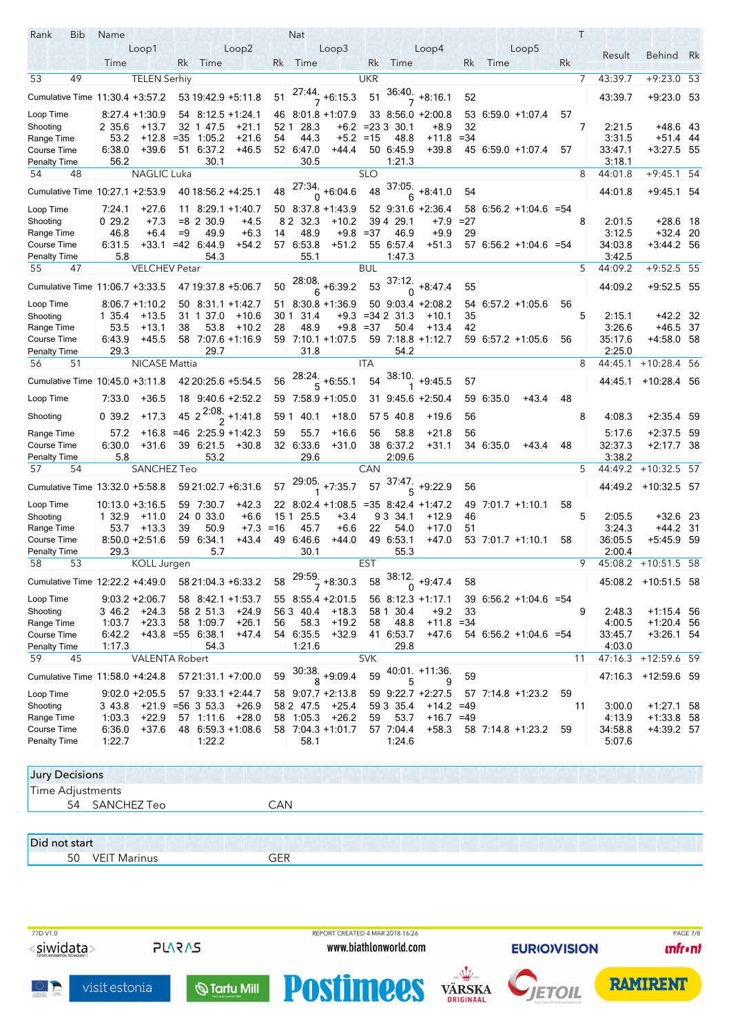| Rank<br>Bib                               | Name                |                              |              |                                            |                    |            | <b>Nat</b>          |                                      |            |                       |                                   |             |           |                          |    | Τ              |                   |                            |     |
|-------------------------------------------|---------------------|------------------------------|--------------|--------------------------------------------|--------------------|------------|---------------------|--------------------------------------|------------|-----------------------|-----------------------------------|-------------|-----------|--------------------------|----|----------------|-------------------|----------------------------|-----|
|                                           |                     | Loop1                        |              |                                            | Loop2              |            |                     | Loop3                                |            |                       | Loop4                             |             |           | Loop5                    |    |                | Result            | Behind Rk                  |     |
|                                           | Time                |                              | Rk           | Time                                       |                    | Rk         | Time                |                                      | Rk         | Time                  |                                   | Rk          | Time      |                          | Rk |                |                   |                            |     |
| 49<br>53                                  |                     | <b>TELEN Serhiy</b>          |              |                                            |                    |            |                     |                                      | <b>UKR</b> |                       |                                   |             |           |                          |    | $\overline{7}$ | 43:39.7           | $+9:23.0$ 53               |     |
| Cumulative Time 11:30.4 +3:57.2           |                     |                              |              | 53 19 42 9 +5 11 8                         |                    | 51         |                     | $\frac{27.44}{7}$ +6.15.3            | 51         |                       | $\frac{36:40}{7}$ +8:16.1         | 52          |           |                          |    |                | 43:39.7           | $+9.23.0$ 53               |     |
| Loop Time                                 |                     | $8:27.4 + 1:30.9$            |              | 54 8:12.5 +1:24.1                          |                    |            |                     | 46 8:01.8 +1:07.9                    |            |                       | 33 8:56.0 +2:00.8                 |             |           | 53 6.59 0 +1:07.4        | 57 |                |                   |                            |     |
| Shooting<br>Range Time                    | 2 35.6<br>53.2      | $+13.7$<br>+12.8             | 32<br>$= 35$ | 1 47.5<br>1:05.2                           | $+21.1$<br>$+21.6$ | 52 1<br>54 | 28.3<br>44.3        | $+6.2$<br>$+5.2$                     | $=15$      | $= 2333330.1$<br>48.8 | +8.9<br>+11.8                     | 32<br>$=34$ |           |                          |    | 7              | 2:21.5<br>3.31.5  | +48.6 43<br>$+51.4$ 44     |     |
| Course Time                               | 6:38.0              | $+39.6$                      |              | 51 6:37.2                                  | $+46.5$            |            | 52 6:47.0           | +44.4                                |            | 50 6:45.9             | $+39.8$                           |             |           | 45 6:59 0 +1:07.4        | 57 |                | 33 47 1           | $+3.27.5$ 55               |     |
| <b>Penalty Time</b>                       | 56.2                |                              |              | 30.1                                       |                    |            | 30.5                |                                      |            | 1:21.3                |                                   |             |           |                          |    |                | 3:18.1            |                            |     |
| 54<br>48                                  |                     | <b>NAGLIC Luka</b>           |              |                                            |                    |            |                     |                                      | <b>SLO</b> |                       |                                   |             |           |                          |    | 8              | 44:01.8           | $+9:45.1$                  | -54 |
| Cumulative Time 10:27.1 +2:53.9           |                     |                              |              | 40 18:56.2 +4:25.1                         |                    | 48         |                     | $\frac{27:34}{0}$ +6:04.6            | 48         | 37:05.<br>6           | $+8.41.0$                         | 54          |           |                          |    |                | 44.01.8           | +9:45.1 54                 |     |
| Loop Time                                 | 7.24.1              | $+27.6$                      |              | 11 8:29 1 +1:40 7                          |                    |            |                     | 50 8:37 8 +1:43.9                    |            |                       | 52 9:31.6 +2:36.4                 |             |           | $58$ 6:56.2 +1:04.6 = 54 |    |                |                   |                            |     |
| Shooting                                  | 0 29.2              | $+7.3$                       |              | $= 8$ 2 30.9                               | +4.5               |            | 32.3<br>82          | $+10.2$                              | 394        | 29.1                  | +7.9                              | $=27$       |           |                          |    | 8              | 2:01.5            | $+28.6$ 18                 |     |
| Range Time<br>Course Time                 | 46.8<br>6:31.5      | $+6.4$<br>$+33.1$            | $=9$         | 49.9<br>$= 42 \quad 6.44.9$                | $+6.3$<br>$+54.2$  | 14         | 48.9<br>57 6:53.8   | $+9.8$<br>$+51.2$                    | $= 37$     | 46.9<br>55 6.57.4     | $+9.9$<br>$+51.3$                 | 29          |           | $57$ 6:56.2 +1:04.6 =54  |    |                | 3.12.5<br>34:03.8 | $+32.4$ 20<br>$+3.44.2$ 56 |     |
| <b>Penalty Time</b>                       | 5.8                 |                              |              | 54.3                                       |                    |            | 55.1                |                                      |            | 1:47.3                |                                   |             |           |                          |    |                | 3:42.5            |                            |     |
| 55<br>47                                  |                     | VELCHEV Petar                |              |                                            |                    |            |                     |                                      | BUL        |                       |                                   |             |           |                          |    | 5              | 44:09.2           | $+9:52.5$ 55               |     |
| Cumulative Time 11:06.7 +3:33.5           |                     |                              |              | 47 19:37 8 +5:06.7                         |                    | 50         |                     | $\frac{28.08}{6}$ +6:39.2            | 53         | 37:12.                | $+8.47.4$                         | 55          |           |                          |    |                | 44:09.2           | $+9.52.5$ 55               |     |
| Loop Time                                 |                     | $8:06.7 +1:10.2$             |              | 50 8:31 1 + 1:42 7                         |                    |            |                     | $51$ 8:30.8 +1:36.9                  |            |                       | 50 9:03.4 +2:08.2                 |             |           | 54 6:57.2 +1:05.6        | 56 |                |                   |                            |     |
| Shooting                                  | 1 35.4              | $+13.5$                      | 31 1         | 37.0                                       | $+10.6$            | 301        | 31.4                | $+9.3$                               |            | $= 342$ 31.3          | $+10.1$                           | 35          |           |                          |    | 5              | 2:15.1            | $+42.2$ 32                 |     |
| Range Time                                | 53.5                | $+13.1$                      | 38           | 53.8                                       | $+10.2$            | 28         | 48.9                | +9.8                                 | $= 37$     | 50.4                  | $+13.4$                           | 42          |           |                          |    |                | 3.26.6            | +46.5 37                   |     |
| Course Time<br><b>Penalty Time</b>        | 6:43.9<br>29.3      | $+45.5$                      |              | 58 7 07 6 +1 16 9<br>29.7                  |                    | 59         | 31.8                | $7:10.1 + 1:07.5$                    |            | 54.2                  | 59 7.18.8 +1.12.7                 |             |           | 59 6.57.2 +1.05.6        | 56 |                | 35:17.6<br>2:25.0 | +4:58.0 58                 |     |
| 56<br>51                                  |                     | <b>NICASE Mattia</b>         |              |                                            |                    |            |                     |                                      | <b>ITA</b> |                       |                                   |             |           |                          |    | 8              | 44:45.1           | $+10:28.4$ 56              |     |
| Cumulative Time 10:45.0 +3:11.8           |                     |                              |              | 42 20:25.6 +5:54.5                         |                    | 56         |                     | $\frac{28:24}{5}$ +6:55.1            | 54         |                       | $38:10$ +9:45.5                   | 57          |           |                          |    |                | 44:45.1           | $+10.28.4$ 56              |     |
| Loop Time                                 | 7.33.0              | $+36.5$                      |              | 18 9:40.6 +2:52.2                          |                    |            |                     | 59 7:58.9 +1:05.0                    |            |                       | 31 9:45.6 +2:50.4                 |             | 59 6:35.0 | $+43.4$                  | 48 |                |                   |                            |     |
| Shooting                                  | 0.39.2              | $+17.3$                      |              | 45 $2^{2.08}$ +1.41.8                      |                    | 591        | 40.1                | $+18.0$                              |            | 575 40.8              | $+19.6$                           | 56          |           |                          |    | 8              | 4 08 3            | $+2:35.4$ 59               |     |
| Range Time                                | 57.2                |                              |              | $+16.8$ =46 2.25.9 +1.42.3                 |                    | 59         | 55.7                | $+16.6$                              | 56         | 58.8                  | $+21.8$                           | 56          |           |                          |    |                | 5.17.6            | $+2:37.5$ 59               |     |
| <b>Course Time</b>                        | 6.30.0              | $+31.6$                      |              | 39 6:21.5                                  | $+30.8$            |            | 32 6:33.6           | $+31.0$                              |            | 38 6:37.2             | $+31.1$                           |             | 34 6:35.0 | $+43.4$                  | 48 |                | 32:37.3           | $+2.17.7$ 38               |     |
| <b>Penalty Time</b>                       | 5.8                 |                              |              | 53.2                                       |                    |            | 29.6                |                                      |            | 2:09.6                |                                   |             |           |                          |    |                | 3:38.2            |                            |     |
| 57<br>54                                  |                     | SANCHEZ Teo                  |              |                                            |                    |            |                     |                                      | <b>CAN</b> |                       |                                   |             |           |                          |    | 5              | 44:49.2           | $+10:32.5$ 57              |     |
| Cumulative Time 13:32.0 +5:58.8           |                     |                              |              | 59 21:02.7 +6:31.6                         |                    | 57         |                     | $29.05$ <sub>+7:35.7</sub>           | 57         | .37.47<br>5           | $+9.22.9$                         | 56          |           |                          |    |                |                   | 44:49.2 +10:32.5 57        |     |
| Loop Time                                 | $10:13.0 + 3:16.5$  |                              |              | 59 7:30 7                                  | $+42.3$            |            |                     | 22 8:02.4 +1:08.5 =35 8:42.4 +1:47.2 |            |                       |                                   |             |           | 49 7:01.7 +1:10.1        | 58 |                |                   |                            |     |
| Shooting                                  | 1 32.9              | $+11.0$                      |              | 24 0 33.0                                  | $+6.6$             | 151        | 25.5                | $+3.4$                               |            | 9 3 3 4 1             | $+12.9$                           | 46          |           |                          |    | 5              | 2:05.5            | $+32.6$ 23                 |     |
| Range Time<br>Course Time                 | 53.7                | $+13.3$<br>$8:50.0 + 2:51.6$ | 39           | 50.9<br>59 6:34.1                          | $+7.3$<br>$+43.4$  | $=16$      | 45.7<br>49 6:46.6   | $+6.6$<br>$+44.0$                    | 22         | 54.0<br>49 6:53.1     | $+17.0$<br>$+47.0$                | 51          |           | 53 7:01.7 +1:10.1        | 58 |                | 3:24.3<br>36:05.5 | $+44.2$ 31<br>+5:45.9 59   |     |
| <b>Penalty Time</b>                       | 29.3                |                              |              | 5.7                                        |                    |            | 30.1                |                                      |            | 55.3                  |                                   |             |           |                          |    |                | 2:00.4            |                            |     |
| 58<br>53                                  |                     | <b>KOLL Jurgen</b>           |              |                                            |                    |            |                     |                                      | <b>EST</b> |                       |                                   |             |           |                          |    | 9              |                   | 45:08.2 +10:51.5 58        |     |
| Cumulative Time 12:22.2 +4:49.0           |                     |                              |              | 58 21:04.3 +6:33.2                         |                    | 58         |                     | $\frac{29.59}{7}$ +8.30.3            | 58         | 38. TZ.<br>$\Omega$   | $+9.47.4$                         | 58          |           |                          |    |                |                   | 45:08.2 +10:51.5 58        |     |
| Loop Time                                 |                     | $9:03.2 + 2:06.7$            |              | 58 8.42.1 +1.53.7                          |                    |            |                     | 55 8 55 4 + 2:01.5                   |            |                       | 56 8:12.3 +1:17.1                 |             |           | $39$ 6.56.2 +1.04.6 = 54 |    |                |                   |                            |     |
| Shooting                                  | 3 46.2              | $+24.3$                      |              | 58 2 51.3                                  | $+24.9$            |            | 56 3 40.4           | $+18.3$                              |            | 58 1 30.4             | $+9.2$                            | 33          |           |                          |    | 9              | 2:48.3            | $+1:15.4$ 56               |     |
| Range Time                                | 1:03.7              | $+23.3$                      |              | 58 1:09.7                                  | $+26.1$            | 56         | 58.3                | $+19.2$                              | 58         | 48.8                  | $+11.8 = 34$                      |             |           |                          |    |                | 4:00.5            | $+1.20.4$ 56               |     |
| Course Time                               | 6:42.2              |                              |              | $+43.8$ = 55 6.38.1<br>54.3                | $+47.4$            |            | 54 6:35.5<br>1:21.6 | $+32.9$                              |            | 41 6:53.7<br>29.8     | $+47.6$                           |             |           | $54$ 6.56.2 +1.04.6 = 54 |    |                | 33.45.7<br>4.03.0 | $+3.26.1$ 54               |     |
| <b>Penalty Time</b><br>59<br>45           | 1.17.3              | <b>VALENTA Robert</b>        |              |                                            |                    |            |                     |                                      | <b>SVK</b> |                       |                                   |             |           |                          |    | 11             |                   | 47:16.3 +12:59.6 59        |     |
| Cumulative Time 11:58.0 +4:24.8           |                     |                              |              | 57 21:31.1 + 7:00.0                        |                    | 59         |                     | $\frac{30:38}{8}$ +9:09.4            | 59         |                       | 40:01. +11:36.                    | 59          |           |                          |    |                |                   | 47.16.3 +12.59.6 59        |     |
|                                           |                     |                              |              |                                            |                    |            |                     |                                      |            | 5                     | 9                                 |             |           |                          |    |                |                   |                            |     |
| Loop Time<br>Shooting                     | 3438                | $9:02.0 + 2:05.5$            |              | $57$ 9:33.1 +2:44.7<br>$+21.9 = 56$ 3 53.3 | +26.9              |            | 58 2 47.5           | 58 9.07.7 + 2.13.8<br>$+25.4$        |            | 59 3 35.4             | 59 9:22 7 +2:27 5<br>$+14.2 = 49$ |             |           | 57 7 14 8 + 1 23 2       | 59 | 11             | 3:00.0            | $+1:27.1$ 58               |     |
| Range Time                                | 1:03.3              | $+22.9$                      |              | $57$ 1:11.6                                | +28.0              |            | 58 1:05.3           | +26.2                                | 59         | 53.7                  | $+16.7 = 49$                      |             |           |                          |    |                | 4 13 9            | $+1.33.8$ 58               |     |
| Course Time                               | 6.36.0              | $+37.6$                      |              | 48 6:59.3 +1:08.6                          |                    |            |                     | 58 7:04.3 +1:01.7                    |            | 57 7:04.4             | $+58.3$                           |             |           | 58 7:14.8 +1:23.2        | 59 |                | 34.58.8           | +4:39.2 57                 |     |
| <b>Penalty Time</b>                       | 1.22.7              |                              |              | 1:22.2                                     |                    |            | 58.1                |                                      |            | 1:24.6                |                                   |             |           |                          |    |                | 5:07.6            |                            |     |
|                                           |                     |                              |              |                                            |                    |            |                     |                                      |            |                       |                                   |             |           |                          |    |                |                   |                            |     |
| <b>Jury Decisions</b><br>Time Adjustments |                     |                              |              |                                            |                    |            |                     |                                      |            |                       |                                   |             |           |                          |    |                |                   |                            |     |
|                                           | 54 SANCHEZ Teo      |                              |              |                                            |                    | CAN        |                     |                                      |            |                       |                                   |             |           |                          |    |                |                   |                            |     |
|                                           |                     |                              |              |                                            |                    |            |                     |                                      |            |                       |                                   |             |           |                          |    |                |                   |                            |     |
| Did not start                             |                     |                              |              |                                            |                    |            |                     |                                      |            |                       |                                   |             |           |                          |    |                |                   |                            |     |
| 50                                        | <b>VEIT Marinus</b> |                              |              |                                            |                    | <b>GER</b> |                     |                                      |            |                       |                                   |             |           |                          |    |                |                   |                            |     |
|                                           |                     |                              |              |                                            |                    |            |                     |                                      |            |                       |                                   |             |           |                          |    |                |                   |                            |     |